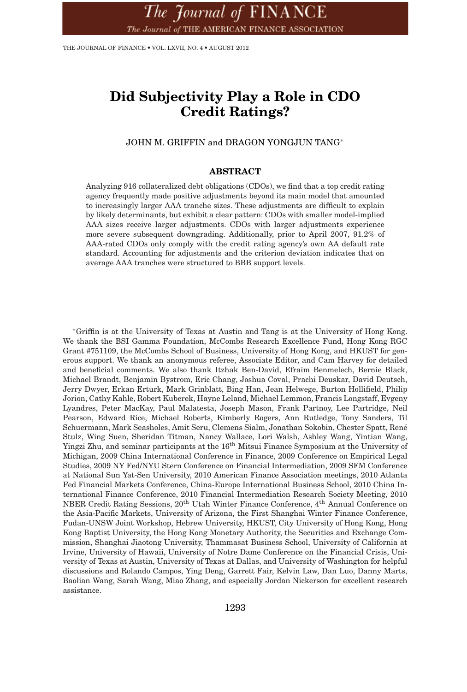THE JOURNAL OF FINANCE • VOL. LXVII, NO. 4 • AUGUST 2012

# **Did Subjectivity Play a Role in CDO Credit Ratings?**

### JOHN M. GRIFFIN and DRAGON YONGJUN TANG∗

### **ABSTRACT**

Analyzing 916 collateralized debt obligations (CDOs), we find that a top credit rating agency frequently made positive adjustments beyond its main model that amounted to increasingly larger AAA tranche sizes. These adjustments are difficult to explain by likely determinants, but exhibit a clear pattern: CDOs with smaller model-implied AAA sizes receive larger adjustments. CDOs with larger adjustments experience more severe subsequent downgrading. Additionally, prior to April 2007, 91.2% of AAA-rated CDOs only comply with the credit rating agency's own AA default rate standard. Accounting for adjustments and the criterion deviation indicates that on average AAA tranches were structured to BBB support levels.

∗Griffin is at the University of Texas at Austin and Tang is at the University of Hong Kong. We thank the BSI Gamma Foundation, McCombs Research Excellence Fund, Hong Kong RGC Grant #751109, the McCombs School of Business, University of Hong Kong, and HKUST for generous support. We thank an anonymous referee, Associate Editor, and Cam Harvey for detailed and beneficial comments. We also thank Itzhak Ben-David, Efraim Benmelech, Bernie Black, Michael Brandt, Benjamin Bystrom, Eric Chang, Joshua Coval, Prachi Deuskar, David Deutsch, Jerry Dwyer, Erkan Erturk, Mark Grinblatt, Bing Han, Jean Helwege, Burton Hollifield, Philip Jorion, Cathy Kahle, Robert Kuberek, Hayne Leland, Michael Lemmon, Francis Longstaff, Evgeny Lyandres, Peter MacKay, Paul Malatesta, Joseph Mason, Frank Partnoy, Lee Partridge, Neil Pearson, Edward Rice, Michael Roberts, Kimberly Rogers, Ann Rutledge, Tony Sanders, Til Schuermann, Mark Seasholes, Amit Seru, Clemens Sialm, Jonathan Sokobin, Chester Spatt, Rene´ Stulz, Wing Suen, Sheridan Titman, Nancy Wallace, Lori Walsh, Ashley Wang, Yintian Wang, Yingzi Zhu, and seminar participants at the 16<sup>th</sup> Mitsui Finance Symposium at the University of Michigan, 2009 China International Conference in Finance, 2009 Conference on Empirical Legal Studies, 2009 NY Fed/NYU Stern Conference on Financial Intermediation, 2009 SFM Conference at National Sun Yat-Sen University, 2010 American Finance Association meetings, 2010 Atlanta Fed Financial Markets Conference, China-Europe International Business School, 2010 China International Finance Conference, 2010 Financial Intermediation Research Society Meeting, 2010 NBER Credit Rating Sessions, 20th Utah Winter Finance Conference, 4th Annual Conference on the Asia-Pacific Markets, University of Arizona, the First Shanghai Winter Finance Conference, Fudan-UNSW Joint Workshop, Hebrew University, HKUST, City University of Hong Kong, Hong Kong Baptist University, the Hong Kong Monetary Authority, the Securities and Exchange Commission, Shanghai Jiaotong University, Thammasat Business School, University of California at Irvine, University of Hawaii, University of Notre Dame Conference on the Financial Crisis, University of Texas at Austin, University of Texas at Dallas, and University of Washington for helpful discussions and Rolando Campos, Ying Deng, Garrett Fair, Kelvin Law, Dan Luo, Danny Marts, Baolian Wang, Sarah Wang, Miao Zhang, and especially Jordan Nickerson for excellent research assistance.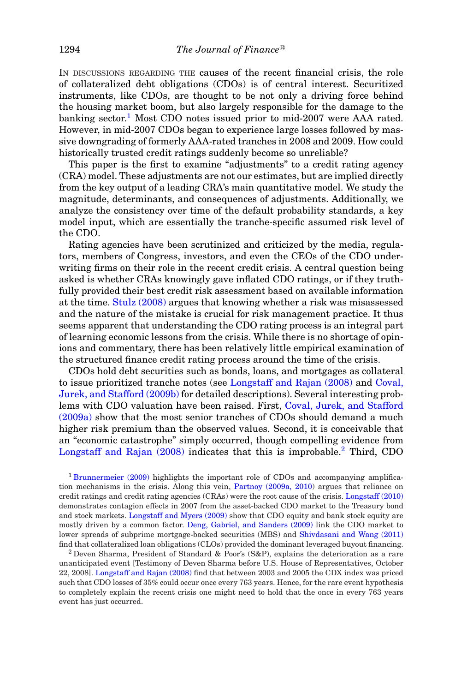IN DISCUSSIONS REGARDING THE causes of the recent financial crisis, the role of collateralized debt obligations (CDOs) is of central interest. Securitized instruments, like CDOs, are thought to be not only a driving force behind the housing market boom, but also largely responsible for the damage to the banking sector.<sup>[1](#page-1-0)</sup> Most CDO notes issued prior to mid-2007 were AAA rated. However, in mid-2007 CDOs began to experience large losses followed by massive downgrading of formerly AAA-rated tranches in 2008 and 2009. How could historically trusted credit ratings suddenly become so unreliable?

This paper is the first to examine "adjustments" to a credit rating agency (CRA) model. These adjustments are not our estimates, but are implied directly from the key output of a leading CRA's main quantitative model. We study the magnitude, determinants, and consequences of adjustments. Additionally, we analyze the consistency over time of the default probability standards, a key model input, which are essentially the tranche-specific assumed risk level of the CDO.

Rating agencies have been scrutinized and criticized by the media, regulators, members of Congress, investors, and even the CEOs of the CDO underwriting firms on their role in the recent credit crisis. A central question being asked is whether CRAs knowingly gave inflated CDO ratings, or if they truthfully provided their best credit risk assessment based on available information at the time. [Stulz \(2008\)](#page-35-0) argues that knowing whether a risk was misassessed and the nature of the mistake is crucial for risk management practice. It thus seems apparent that understanding the CDO rating process is an integral part of learning economic lessons from the crisis. While there is no shortage of opinions and commentary, there has been relatively little empirical examination of the structured finance credit rating process around the time of the crisis.

CDOs hold debt securities such as bonds, loans, and mortgages as collateral to issue prioritized tranche notes (see [Longstaff and Rajan \(2008\)](#page-34-0) and [Coval,](#page-34-1) [Jurek, and Stafford \(2009b\)](#page-34-1) for detailed descriptions). Several interesting problems with CDO valuation have been raised. First, [Coval, Jurek, and Stafford](#page-34-2) [\(2009a\)](#page-34-2) show that the most senior tranches of CDOs should demand a much higher risk premium than the observed values. Second, it is conceivable that an "economic catastrophe" simply occurred, though compelling evidence from Longstaff and Rajan  $(2008)$  indicates that this is improbable.<sup>2</sup> Third, CDO

<span id="page-1-1"></span><span id="page-1-0"></span><sup>1</sup> [Brunnermeier \(2009\)](#page-34-3) highlights the important role of CDOs and accompanying amplification mechanisms in the crisis. Along this vein, Partnoy (2009a, 2010) argues that reliance on credit ratings and credit rating agencies (CRAs) were the root cause of the crisis. [Longstaff \(2010\)](#page-34-4) demonstrates contagion effects in 2007 from the asset-backed CDO market to the Treasury bond and stock markets. [Longstaff and Myers \(2009\)](#page-34-5) show that CDO equity and bank stock equity are mostly driven by a common factor. [Deng, Gabriel, and Sanders \(2009\)](#page-34-6) link the CDO market to lower spreads of subprime mortgage-backed securities (MBS) and [Shivdasani and Wang \(2011\)](#page-35-1) find that collateralized loan obligations (CLOs) provided the dominant leveraged buyout financing.

<span id="page-1-3"></span><span id="page-1-2"></span><sup>2</sup> Deven Sharma, President of Standard & Poor's  $(S\&P)$ , explains the deterioration as a rare unanticipated event [Testimony of Deven Sharma before U.S. House of Representatives, October 22, 2008]. [Longstaff and Rajan \(2008\)](#page-34-0) find that between 2003 and 2005 the CDX index was priced such that CDO losses of 35% could occur once every 763 years. Hence, for the rare event hypothesis to completely explain the recent crisis one might need to hold that the once in every 763 years event has just occurred.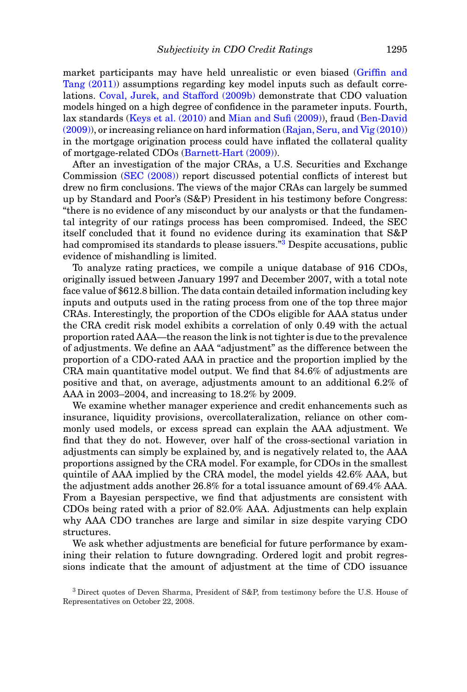market participants may have held unrealistic or even biased [\(Griffin and](#page-34-7) [Tang \(2011\)\)](#page-34-7) assumptions regarding key model inputs such as default correlations. [Coval, Jurek, and Stafford \(2009b\)](#page-34-1) demonstrate that CDO valuation models hinged on a high degree of confidence in the parameter inputs. Fourth, lax standards [\(Keys et al. \(2010\)](#page-34-8) and [Mian and Sufi \(2009\)\)](#page-35-2), fraud [\(Ben-David](#page-34-9) [\(2009\)\)](#page-34-9), or increasing reliance on hard information [\(Rajan, Seru, and Vig \(2010\)\)](#page-35-3) in the mortgage origination process could have inflated the collateral quality of mortgage-related CDOs [\(Barnett-Hart \(2009\)\)](#page-33-0).

After an investigation of the major CRAs, a U.S. Securities and Exchange Commission [\(SEC \(2008\)\)](#page-35-4) report discussed potential conflicts of interest but drew no firm conclusions. The views of the major CRAs can largely be summed up by Standard and Poor's (S&P) President in his testimony before Congress: "there is no evidence of any misconduct by our analysts or that the fundamental integrity of our ratings process has been compromised. Indeed, the SEC itself concluded that it found no evidence during its examination that S&P had compromised its standards to please issuers."<sup>[3](#page-2-0)</sup> Despite accusations, public evidence of mishandling is limited.

To analyze rating practices, we compile a unique database of 916 CDOs, originally issued between January 1997 and December 2007, with a total note face value of \$612.8 billion. The data contain detailed information including key inputs and outputs used in the rating process from one of the top three major CRAs. Interestingly, the proportion of the CDOs eligible for AAA status under the CRA credit risk model exhibits a correlation of only 0.49 with the actual proportion rated AAA—the reason the link is not tighter is due to the prevalence of adjustments. We define an AAA "adjustment" as the difference between the proportion of a CDO-rated AAA in practice and the proportion implied by the CRA main quantitative model output. We find that 84.6% of adjustments are positive and that, on average, adjustments amount to an additional 6.2% of AAA in 2003–2004, and increasing to 18.2% by 2009.

We examine whether manager experience and credit enhancements such as insurance, liquidity provisions, overcollateralization, reliance on other commonly used models, or excess spread can explain the AAA adjustment. We find that they do not. However, over half of the cross-sectional variation in adjustments can simply be explained by, and is negatively related to, the AAA proportions assigned by the CRA model. For example, for CDOs in the smallest quintile of AAA implied by the CRA model, the model yields 42.6% AAA, but the adjustment adds another 26.8% for a total issuance amount of 69.4% AAA. From a Bayesian perspective, we find that adjustments are consistent with CDOs being rated with a prior of 82.0% AAA. Adjustments can help explain why AAA CDO tranches are large and similar in size despite varying CDO structures.

We ask whether adjustments are beneficial for future performance by examining their relation to future downgrading. Ordered logit and probit regressions indicate that the amount of adjustment at the time of CDO issuance

<span id="page-2-1"></span><span id="page-2-0"></span><sup>3</sup> Direct quotes of Deven Sharma, President of S&P, from testimony before the U.S. House of Representatives on October 22, 2008.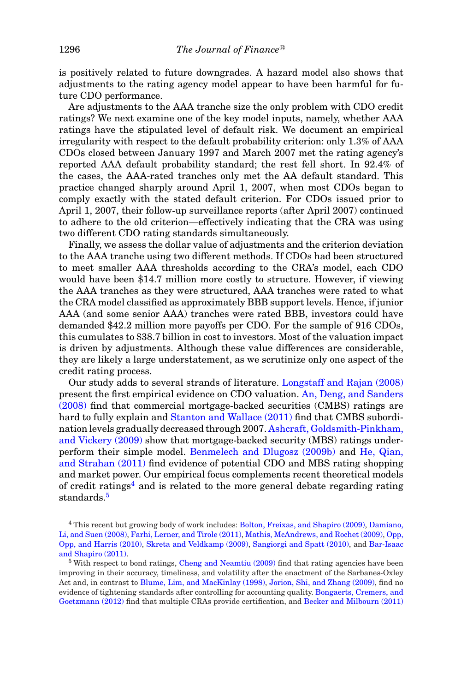is positively related to future downgrades. A hazard model also shows that adjustments to the rating agency model appear to have been harmful for future CDO performance.

Are adjustments to the AAA tranche size the only problem with CDO credit ratings? We next examine one of the key model inputs, namely, whether AAA ratings have the stipulated level of default risk. We document an empirical irregularity with respect to the default probability criterion: only 1.3% of AAA CDOs closed between January 1997 and March 2007 met the rating agency's reported AAA default probability standard; the rest fell short. In 92.4% of the cases, the AAA-rated tranches only met the AA default standard. This practice changed sharply around April 1, 2007, when most CDOs began to comply exactly with the stated default criterion. For CDOs issued prior to April 1, 2007, their follow-up surveillance reports (after April 2007) continued to adhere to the old criterion—effectively indicating that the CRA was using two different CDO rating standards simultaneously.

Finally, we assess the dollar value of adjustments and the criterion deviation to the AAA tranche using two different methods. If CDOs had been structured to meet smaller AAA thresholds according to the CRA's model, each CDO would have been \$14.7 million more costly to structure. However, if viewing the AAA tranches as they were structured, AAA tranches were rated to what the CRA model classified as approximately BBB support levels. Hence, if junior AAA (and some senior AAA) tranches were rated BBB, investors could have demanded \$42.2 million more payoffs per CDO. For the sample of 916 CDOs, this cumulates to \$38.7 billion in cost to investors. Most of the valuation impact is driven by adjustments. Although these value differences are considerable, they are likely a large understatement, as we scrutinize only one aspect of the credit rating process.

Our study adds to several strands of literature. [Longstaff and Rajan \(2008\)](#page-34-0) present the first empirical evidence on CDO valuation. [An, Deng, and Sanders](#page-33-1) [\(2008\)](#page-33-1) find that commercial mortgage-backed securities (CMBS) ratings are hard to fully explain and [Stanton and Wallace \(2011\)](#page-35-5) find that CMBS subordination levels gradually decreased through 2007. [Ashcraft, Goldsmith-Pinkham,](#page-33-2) [and Vickery \(2009\)](#page-33-2) show that mortgage-backed security (MBS) ratings underperform their simple model. [Benmelech and Dlugosz \(2009b\)](#page-34-10) and [He, Qian,](#page-34-11) [and Strahan \(2011\)](#page-34-11) find evidence of potential CDO and MBS rating shopping and market power. Our empirical focus complements recent theoretical models of credit ratings<sup>[4](#page-3-0)</sup> and is related to the more general debate regarding rating standards.<sup>5</sup>

<span id="page-3-1"></span><span id="page-3-0"></span><sup>4</sup> This recent but growing body of work includes: [Bolton, Freixas, and Shapiro \(2009\),](#page-34-12) [Damiano,](#page-34-13) [Li, and Suen \(2008\),](#page-34-13) [Farhi, Lerner, and Tirole \(2011\),](#page-34-14) [Mathis, McAndrews, and Rochet \(2009\),](#page-35-6) [Opp,](#page-35-7) [Opp, and Harris \(2010\),](#page-35-7) [Skreta and Veldkamp \(2009\),](#page-35-8) [Sangiorgi and Spatt \(2010\),](#page-35-9) and [Bar-Isaac](#page-33-3) [and Shapiro \(2011\).](#page-33-3)

<span id="page-3-3"></span><span id="page-3-2"></span><sup>5</sup> With respect to bond ratings, [Cheng and Neamtiu \(2009\)](#page-34-15) find that rating agencies have been improving in their accuracy, timeliness, and volatility after the enactment of the Sarbanes-Oxley Act and, in contrast to [Blume, Lim, and MacKinlay \(1998\),](#page-34-16) [Jorion, Shi, and Zhang \(2009\),](#page-34-17) find no evidence of tightening standards after controlling for accounting quality. [Bongaerts, Cremers, and](#page-34-18) [Goetzmann \(2012\)](#page-34-18) find that multiple CRAs provide certification, and [Becker and Milbourn \(2011\)](#page-33-4)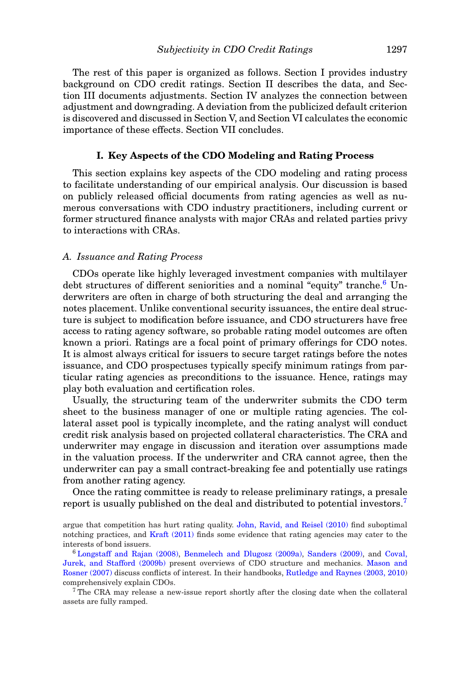The rest of this paper is organized as follows. Section I provides industry background on CDO credit ratings. Section II describes the data, and Section III documents adjustments. Section IV analyzes the connection between adjustment and downgrading. A deviation from the publicized default criterion is discovered and discussed in Section V, and Section VI calculates the economic importance of these effects. Section VII concludes.

### **I. Key Aspects of the CDO Modeling and Rating Process**

This section explains key aspects of the CDO modeling and rating process to facilitate understanding of our empirical analysis. Our discussion is based on publicly released official documents from rating agencies as well as numerous conversations with CDO industry practitioners, including current or former structured finance analysts with major CRAs and related parties privy to interactions with CRAs.

### *A. Issuance and Rating Process*

CDOs operate like highly leveraged investment companies with multilayer debt structures of different seniorities and a nominal "equity" tranche.<sup>[6](#page-4-0)</sup> Underwriters are often in charge of both structuring the deal and arranging the notes placement. Unlike conventional security issuances, the entire deal structure is subject to modification before issuance, and CDO structurers have free access to rating agency software, so probable rating model outcomes are often known a priori. Ratings are a focal point of primary offerings for CDO notes. It is almost always critical for issuers to secure target ratings before the notes issuance, and CDO prospectuses typically specify minimum ratings from particular rating agencies as preconditions to the issuance. Hence, ratings may play both evaluation and certification roles.

Usually, the structuring team of the underwriter submits the CDO term sheet to the business manager of one or multiple rating agencies. The collateral asset pool is typically incomplete, and the rating analyst will conduct credit risk analysis based on projected collateral characteristics. The CRA and underwriter may engage in discussion and iteration over assumptions made in the valuation process. If the underwriter and CRA cannot agree, then the underwriter can pay a small contract-breaking fee and potentially use ratings from another rating agency.

Once the rating committee is ready to release preliminary ratings, a presale report is usually published on the deal and distributed to potential investors[.7](#page-4-2)

argue that competition has hurt rating quality. [John, Ravid, and Reisel \(2010\)](#page-34-19) find suboptimal notching practices, and [Kraft \(2011\)](#page-34-20) finds some evidence that rating agencies may cater to the interests of bond issuers.

<span id="page-4-1"></span><span id="page-4-0"></span><sup>6</sup> [Longstaff and Rajan \(2008\),](#page-34-0) [Benmelech and Dlugosz \(2009a\),](#page-34-21) [Sanders \(2009\),](#page-35-10) and [Coval,](#page-34-1) [Jurek, and Stafford \(2009b\)](#page-34-1) present overviews of CDO structure and mechanics. [Mason and](#page-35-11) [Rosner \(2007\)](#page-35-11) discuss conflicts of interest. In their handbooks, Rutledge and Raynes (2003, 2010) comprehensively explain CDOs.

<span id="page-4-3"></span><span id="page-4-2"></span><sup>7</sup> The CRA may release a new-issue report shortly after the closing date when the collateral assets are fully ramped.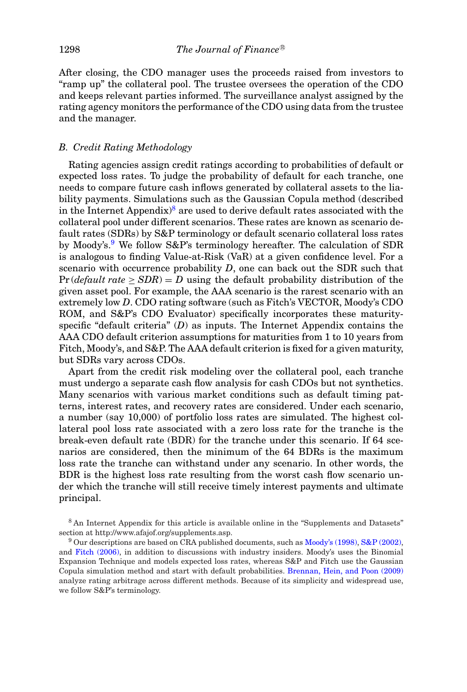After closing, the CDO manager uses the proceeds raised from investors to "ramp up" the collateral pool. The trustee oversees the operation of the CDO and keeps relevant parties informed. The surveillance analyst assigned by the rating agency monitors the performance of the CDO using data from the trustee and the manager.

### *B. Credit Rating Methodology*

Rating agencies assign credit ratings according to probabilities of default or expected loss rates. To judge the probability of default for each tranche, one needs to compare future cash inflows generated by collateral assets to the liability payments. Simulations such as the Gaussian Copula method (described in the Internet Appendix)<sup>[8](#page-5-0)</sup> are used to derive default rates associated with the collateral pool under different scenarios. These rates are known as scenario default rates (SDRs) by S&P terminology or default scenario collateral loss rates by Moody's.<sup>[9](#page-5-2)</sup> We follow S&P's terminology hereafter. The calculation of SDR is analogous to finding Value-at-Risk (VaR) at a given confidence level. For a scenario with occurrence probability *D*, one can back out the SDR such that  $Pr (default rate \geq SDR) = D$  using the default probability distribution of the given asset pool. For example, the AAA scenario is the rarest scenario with an extremely low *D*. CDO rating software (such as Fitch's VECTOR, Moody's CDO ROM, and S&P's CDO Evaluator) specifically incorporates these maturityspecific "default criteria" (*D*) as inputs. The Internet Appendix contains the AAA CDO default criterion assumptions for maturities from 1 to 10 years from Fitch, Moody's, and S&P. The AAA default criterion is fixed for a given maturity, but SDRs vary across CDOs.

Apart from the credit risk modeling over the collateral pool, each tranche must undergo a separate cash flow analysis for cash CDOs but not synthetics. Many scenarios with various market conditions such as default timing patterns, interest rates, and recovery rates are considered. Under each scenario, a number (say 10,000) of portfolio loss rates are simulated. The highest collateral pool loss rate associated with a zero loss rate for the tranche is the break-even default rate (BDR) for the tranche under this scenario. If 64 scenarios are considered, then the minimum of the 64 BDRs is the maximum loss rate the tranche can withstand under any scenario. In other words, the BDR is the highest loss rate resulting from the worst cash flow scenario under which the tranche will still receive timely interest payments and ultimate principal.

<span id="page-5-1"></span><span id="page-5-0"></span><sup>&</sup>lt;sup>8</sup> An Internet Appendix for this article is available online in the "Supplements and Datasets" section at http://www.afajof.org/supplements.asp.

<span id="page-5-3"></span><span id="page-5-2"></span><sup>9</sup> Our descriptions are based on CRA published documents, such as [Moody's \(1998\),](#page-35-12) [S&P \(2002\),](#page-35-13) and [Fitch \(2006\),](#page-34-22) in addition to discussions with industry insiders. Moody's uses the Binomial Expansion Technique and models expected loss rates, whereas S&P and Fitch use the Gaussian Copula simulation method and start with default probabilities. [Brennan, Hein, and Poon \(2009\)](#page-34-23) analyze rating arbitrage across different methods. Because of its simplicity and widespread use, we follow S&P's terminology.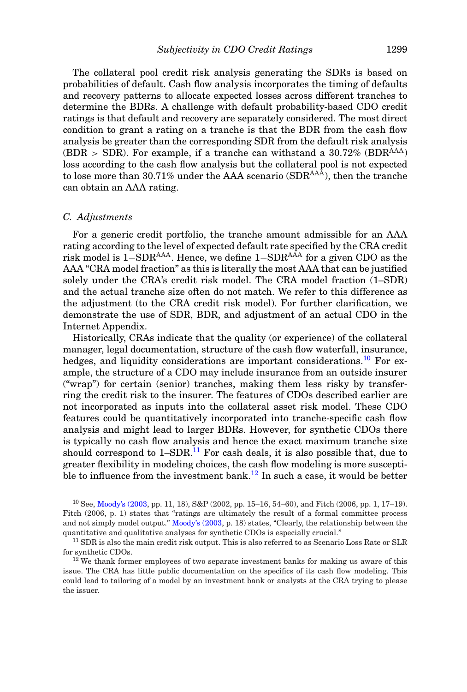The collateral pool credit risk analysis generating the SDRs is based on probabilities of default. Cash flow analysis incorporates the timing of defaults and recovery patterns to allocate expected losses across different tranches to determine the BDRs. A challenge with default probability-based CDO credit ratings is that default and recovery are separately considered. The most direct condition to grant a rating on a tranche is that the BDR from the cash flow analysis be greater than the corresponding SDR from the default risk analysis (BDR  $>$  SDR). For example, if a tranche can withstand a  $30.72\%$  (BDR<sup>AAA</sup>) loss according to the cash flow analysis but the collateral pool is not expected to lose more than 30.71% under the AAA scenario ( $SDR<sup>AAA</sup>$ ), then the tranche can obtain an AAA rating.

#### *C. Adjustments*

For a generic credit portfolio, the tranche amount admissible for an AAA rating according to the level of expected default rate specified by the CRA credit risk model is 1−SDRAAA. Hence, we define 1−SDRAAA for a given CDO as the AAA "CRA model fraction" as this is literally the most AAA that can be justified solely under the CRA's credit risk model. The CRA model fraction (1–SDR) and the actual tranche size often do not match. We refer to this difference as the adjustment (to the CRA credit risk model). For further clarification, we demonstrate the use of SDR, BDR, and adjustment of an actual CDO in the Internet Appendix.

Historically, CRAs indicate that the quality (or experience) of the collateral manager, legal documentation, structure of the cash flow waterfall, insurance, hedges, and liquidity considerations are important considerations.<sup>10</sup> For example, the structure of a CDO may include insurance from an outside insurer ("wrap") for certain (senior) tranches, making them less risky by transferring the credit risk to the insurer. The features of CDOs described earlier are not incorporated as inputs into the collateral asset risk model. These CDO features could be quantitatively incorporated into tranche-specific cash flow analysis and might lead to larger BDRs. However, for synthetic CDOs there is typically no cash flow analysis and hence the exact maximum tranche size should correspond to  $1$ –SDR.<sup>11</sup> For cash deals, it is also possible that, due to greater flexibility in modeling choices, the cash flow modeling is more susceptible to influence from the investment bank.<sup>12</sup> In such a case, it would be better

<span id="page-6-1"></span><span id="page-6-0"></span><sup>10</sup> See, [Moody's \(2003,](#page-35-14) pp. 11, 18), S&P (2002, pp. 15–16, 54–60), and Fitch (2006, pp. 1, 17–19). Fitch (2006, p. 1) states that "ratings are ultimately the result of a formal committee process and not simply model output." [Moody's \(2003,](#page-35-14) p. 18) states, "Clearly, the relationship between the quantitative and qualitative analyses for synthetic CDOs is especially crucial."

<span id="page-6-3"></span><span id="page-6-2"></span><sup>&</sup>lt;sup>11</sup> SDR is also the main credit risk output. This is also referred to as Scenario Loss Rate or SLR for synthetic CDOs.

<span id="page-6-5"></span><span id="page-6-4"></span> $12$  We thank former employees of two separate investment banks for making us aware of this issue. The CRA has little public documentation on the specifics of its cash flow modeling. This could lead to tailoring of a model by an investment bank or analysts at the CRA trying to please the issuer.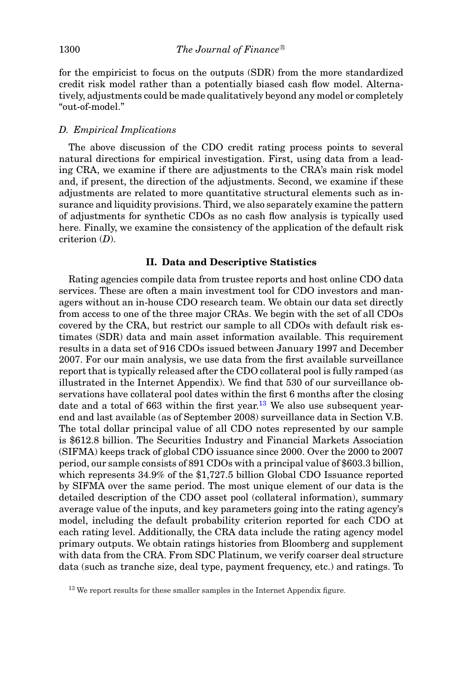for the empiricist to focus on the outputs (SDR) from the more standardized credit risk model rather than a potentially biased cash flow model. Alternatively, adjustments could be made qualitatively beyond any model or completely "out-of-model."

#### *D. Empirical Implications*

The above discussion of the CDO credit rating process points to several natural directions for empirical investigation. First, using data from a leading CRA, we examine if there are adjustments to the CRA's main risk model and, if present, the direction of the adjustments. Second, we examine if these adjustments are related to more quantitative structural elements such as insurance and liquidity provisions. Third, we also separately examine the pattern of adjustments for synthetic CDOs as no cash flow analysis is typically used here. Finally, we examine the consistency of the application of the default risk criterion (*D*).

### **II. Data and Descriptive Statistics**

Rating agencies compile data from trustee reports and host online CDO data services. These are often a main investment tool for CDO investors and managers without an in-house CDO research team. We obtain our data set directly from access to one of the three major CRAs. We begin with the set of all CDOs covered by the CRA, but restrict our sample to all CDOs with default risk estimates (SDR) data and main asset information available. This requirement results in a data set of 916 CDOs issued between January 1997 and December 2007. For our main analysis, we use data from the first available surveillance report that is typically released after the CDO collateral pool is fully ramped (as illustrated in the Internet Appendix). We find that 530 of our surveillance observations have collateral pool dates within the first 6 months after the closing date and a total of 663 within the first year.<sup>13</sup> We also use subsequent yearend and last available (as of September 2008) surveillance data in Section V.B. The total dollar principal value of all CDO notes represented by our sample is \$612.8 billion. The Securities Industry and Financial Markets Association (SIFMA) keeps track of global CDO issuance since 2000. Over the 2000 to 2007 period, our sample consists of 891 CDOs with a principal value of \$603.3 billion, which represents 34.9% of the \$1,727.5 billion Global CDO Issuance reported by SIFMA over the same period. The most unique element of our data is the detailed description of the CDO asset pool (collateral information), summary average value of the inputs, and key parameters going into the rating agency's model, including the default probability criterion reported for each CDO at each rating level. Additionally, the CRA data include the rating agency model primary outputs. We obtain ratings histories from Bloomberg and supplement with data from the CRA. From SDC Platinum, we verify coarser deal structure data (such as tranche size, deal type, payment frequency, etc.) and ratings. To

<span id="page-7-1"></span><span id="page-7-0"></span> $13$  We report results for these smaller samples in the Internet Appendix figure.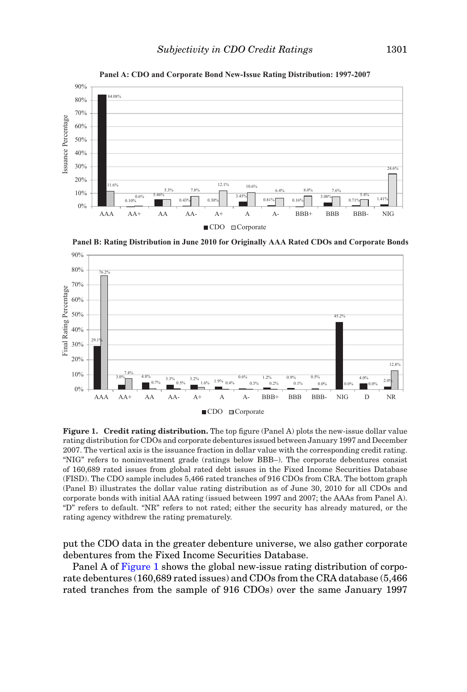<span id="page-8-0"></span>

**Panel A: CDO and Corporate Bond New-Issue Rating Distribution: 1997-2007**





**Figure 1. Credit rating distribution.** The top figure (Panel A) plots the new-issue dollar value rating distribution for CDOs and corporate debentures issued between January 1997 and December 2007. The vertical axis is the issuance fraction in dollar value with the corresponding credit rating. "NIG" refers to noninvestment grade (ratings below BBB–). The corporate debentures consist of 160,689 rated issues from global rated debt issues in the Fixed Income Securities Database (FISD). The CDO sample includes 5,466 rated tranches of 916 CDOs from CRA. The bottom graph (Panel B) illustrates the dollar value rating distribution as of June 30, 2010 for all CDOs and corporate bonds with initial AAA rating (issued between 1997 and 2007; the AAAs from Panel A). "D" refers to default. "NR" refers to not rated; either the security has already matured, or the rating agency withdrew the rating prematurely.

put the CDO data in the greater debenture universe, we also gather corporate debentures from the Fixed Income Securities Database.

Panel A of [Figure 1](#page-8-0) shows the global new-issue rating distribution of corporate debentures (160,689 rated issues) and CDOs from the CRA database (5,466 rated tranches from the sample of 916 CDOs) over the same January 1997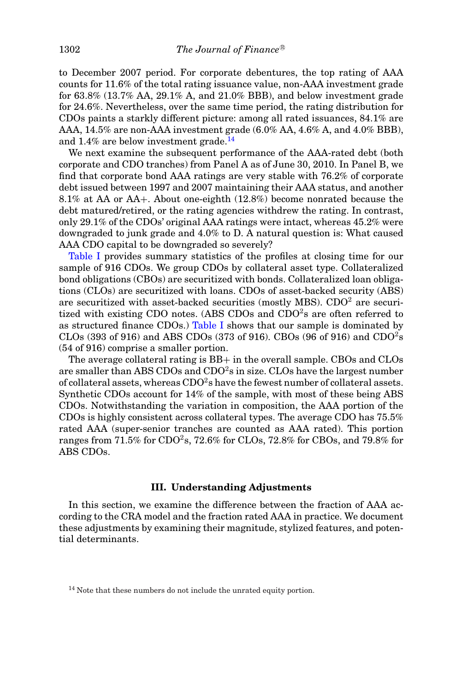to December 2007 period. For corporate debentures, the top rating of AAA counts for 11.6% of the total rating issuance value, non-AAA investment grade for 63.8% (13.7% AA, 29.1% A, and 21.0% BBB), and below investment grade for 24.6%. Nevertheless, over the same time period, the rating distribution for CDOs paints a starkly different picture: among all rated issuances, 84.1% are AAA, 14.5% are non-AAA investment grade (6.0% AA, 4.6% A, and 4.0% BBB), and 1.4% are below investment grade. $^{14}$ 

We next examine the subsequent performance of the AAA-rated debt (both corporate and CDO tranches) from Panel A as of June 30, 2010. In Panel B, we find that corporate bond AAA ratings are very stable with 76.2% of corporate debt issued between 1997 and 2007 maintaining their AAA status, and another 8.1% at AA or AA+. About one-eighth (12.8%) become nonrated because the debt matured/retired, or the rating agencies withdrew the rating. In contrast, only 29.1% of the CDOs' original AAA ratings were intact, whereas 45.2% were downgraded to junk grade and 4.0% to D. A natural question is: What caused AAA CDO capital to be downgraded so severely?

[Table I](#page-10-0) provides summary statistics of the profiles at closing time for our sample of 916 CDOs. We group CDOs by collateral asset type. Collateralized bond obligations (CBOs) are securitized with bonds. Collateralized loan obligations (CLOs) are securitized with loans. CDOs of asset-backed security (ABS) are securitized with asset-backed securities (mostly MBS).  $CDO<sup>2</sup>$  are securitized with existing CDO notes. (ABS CDOs and  $CDO<sup>2</sup>$ s are often referred to as structured finance CDOs.) [Table I](#page-10-0) shows that our sample is dominated by CLOs (393 of 916) and ABS CDOs (373 of 916). CBOs (96 of 916) and CDO<sup>2</sup>s (54 of 916) comprise a smaller portion.

The average collateral rating is BB+ in the overall sample. CBOs and CLOs are smaller than ABS CDOs and  $CDO<sup>2</sup>$  s in size. CLOs have the largest number of collateral assets, whereas  $CDO<sup>2</sup>$  shave the fewest number of collateral assets. Synthetic CDOs account for 14% of the sample, with most of these being ABS CDOs. Notwithstanding the variation in composition, the AAA portion of the CDOs is highly consistent across collateral types. The average CDO has 75.5% rated AAA (super-senior tranches are counted as AAA rated). This portion ranges from  $71.5\%$  for  $CDO<sup>2</sup>$ s,  $72.6\%$  for  $CLOs$ ,  $72.8\%$  for CBOs, and  $79.8\%$  for ABS CDOs.

### **III. Understanding Adjustments**

In this section, we examine the difference between the fraction of AAA according to the CRA model and the fraction rated AAA in practice. We document these adjustments by examining their magnitude, stylized features, and potential determinants.

<span id="page-9-1"></span><span id="page-9-0"></span><sup>&</sup>lt;sup>14</sup> Note that these numbers do not include the unrated equity portion.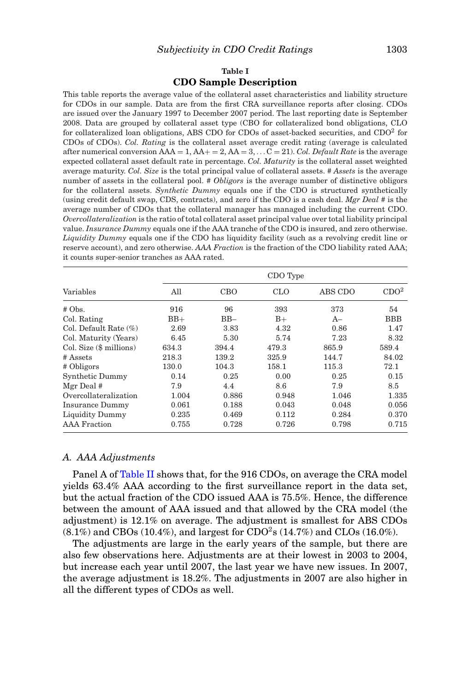### **Table I CDO Sample Description**

<span id="page-10-0"></span>This table reports the average value of the collateral asset characteristics and liability structure for CDOs in our sample. Data are from the first CRA surveillance reports after closing. CDOs are issued over the January 1997 to December 2007 period. The last reporting date is September 2008. Data are grouped by collateral asset type (CBO for collateralized bond obligations, CLO for collateralized loan obligations, ABS CDO for CDOs of asset-backed securities, and CDO<sup>2</sup> for CDOs of CDOs). *Col. Rating* is the collateral asset average credit rating (average is calculated after numerical conversion AAA = 1, AA+ = 2, AA = 3, *...* C = 21). *Col. Default Rate* is the average expected collateral asset default rate in percentage. *Col. Maturity* is the collateral asset weighted average maturity. *Col. Size* is the total principal value of collateral assets. *# Assets* is the average number of assets in the collateral pool. *# Obligors* is the average number of distinctive obligors for the collateral assets. *Synthetic Dummy* equals one if the CDO is structured synthetically (using credit default swap, CDS, contracts), and zero if the CDO is a cash deal. *Mgr Deal #* is the average number of CDOs that the collateral manager has managed including the current CDO. *Overcollateralization* is the ratio of total collateral asset principal value over total liability principal value. *Insurance Dummy* equals one if the AAA tranche of the CDO is insured, and zero otherwise. *Liquidity Dummy* equals one if the CDO has liquidity facility (such as a revolving credit line or reserve account), and zero otherwise. *AAA Fraction* is the fraction of the CDO liability rated AAA; it counts super-senior tranches as AAA rated.

|                          |       |            | CDO Type |         |                  |
|--------------------------|-------|------------|----------|---------|------------------|
| Variables                | All   | <b>CBO</b> | CLO      | ABS CDO | CDO <sup>2</sup> |
| # Obs.                   | 916   | 96         | 393      | 373     | 54               |
| Col. Rating              | $BB+$ | $BB-$      | $B+$     | $A-$    | <b>BBB</b>       |
| Col. Default Rate $(\%)$ | 2.69  | 3.83       | 4.32     | 0.86    | 1.47             |
| Col. Maturity (Years)    | 6.45  | 5.30       | 5.74     | 7.23    | 8.32             |
| Col. Size (\$millions)   | 634.3 | 394.4      | 479.3    | 865.9   | 589.4            |
| # Assets                 | 218.3 | 139.2      | 325.9    | 144.7   | 84.02            |
| # Obligors               | 130.0 | 104.3      | 158.1    | 115.3   | 72.1             |
| Synthetic Dummy          | 0.14  | 0.25       | 0.00     | 0.25    | 0.15             |
| Mgr Deal #               | 7.9   | 4.4        | 8.6      | 7.9     | 8.5              |
| Overcollateralization    | 1.004 | 0.886      | 0.948    | 1.046   | 1.335            |
| Insurance Dummy          | 0.061 | 0.188      | 0.043    | 0.048   | 0.056            |
| <b>Liquidity Dummy</b>   | 0.235 | 0.469      | 0.112    | 0.284   | 0.370            |
| <b>AAA</b> Fraction      | 0.755 | 0.728      | 0.726    | 0.798   | 0.715            |

#### *A. AAA Adjustments*

Panel A of Table II shows that, for the 916 CDOs, on average the CRA model yields 63.4% AAA according to the first surveillance report in the data set, but the actual fraction of the CDO issued AAA is 75.5%. Hence, the difference between the amount of AAA issued and that allowed by the CRA model (the adjustment) is 12.1% on average. The adjustment is smallest for ABS CDOs  $(8.1\%)$  and CBOs  $(10.4\%)$ , and largest for CDO<sup>2</sup>s  $(14.7\%)$  and CLOs  $(16.0\%)$ .

The adjustments are large in the early years of the sample, but there are also few observations here. Adjustments are at their lowest in 2003 to 2004, but increase each year until 2007, the last year we have new issues. In 2007, the average adjustment is 18.2%. The adjustments in 2007 are also higher in all the different types of CDOs as well.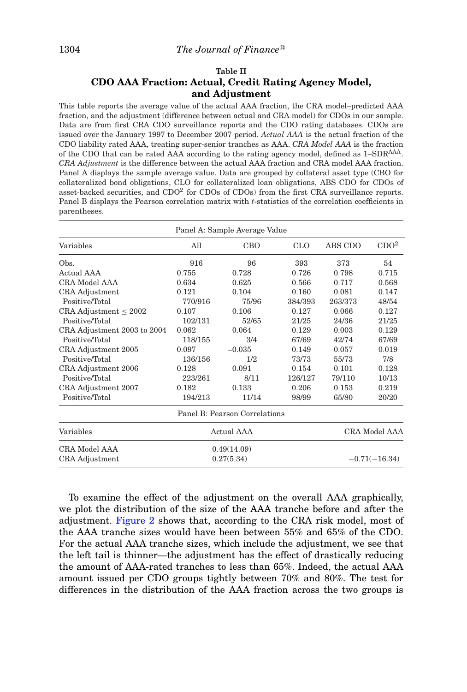### **Table II CDO AAA Fraction: Actual, Credit Rating Agency Model, and Adjustment**

This table reports the average value of the actual AAA fraction, the CRA model–predicted AAA fraction, and the adjustment (difference between actual and CRA model) for CDOs in our sample. Data are from first CRA CDO surveillance reports and the CDO rating databases. CDOs are issued over the January 1997 to December 2007 period. *Actual AAA* is the actual fraction of the CDO liability rated AAA, treating super-senior tranches as AAA. *CRA Model AAA* is the fraction of the CDO that can be rated AAA according to the rating agency model, defined as 1-SDRAAA. *CRA Adjustment* is the difference between the actual AAA fraction and CRA model AAA fraction. Panel A displays the sample average value. Data are grouped by collateral asset type (CBO for collateralized bond obligations, CLO for collateralized loan obligations, ABS CDO for CDOs of asset-backed securities, and CDO<sup>2</sup> for CDOs of CDOs) from the first CRA surveillance reports. Panel B displays the Pearson correlation matrix with *t*-statistics of the correlation coefficients in parentheses.

|                             |         | Panel A: Sample Average Value |            |         |                  |
|-----------------------------|---------|-------------------------------|------------|---------|------------------|
| Variables                   | All     | <b>CBO</b>                    | <b>CLO</b> | ABS CDO | CDO <sup>2</sup> |
| Obs.                        | 916     | 96                            | 393        | 373     | 54               |
| Actual AAA                  | 0.755   | 0.728                         | 0.726      | 0.798   | 0.715            |
| CRA Model AAA               | 0.634   | 0.625                         | 0.566      | 0.717   | 0.568            |
| <b>CRA</b> Adjustment       | 0.121   | 0.104                         | 0.160      | 0.081   | 0.147            |
| Positive/Total              | 770/916 | 75/96                         | 384/393    | 263/373 | 48/54            |
| CRA Adjustment $\leq 2002$  | 0.107   | 0.106                         | 0.127      | 0.066   | 0.127            |
| Positive/Total              | 102/131 | 52/65                         | 21/25      | 24/36   | 21/25            |
| CRA Adjustment 2003 to 2004 | 0.062   | 0.064                         | 0.129      | 0.003   | 0.129            |
| Positive/Total              | 118/155 | 3/4                           | 67/69      | 42/74   | 67/69            |
| CRA Adjustment 2005         | 0.097   | $-0.035$                      | 0.149      | 0.057   | 0.019            |
| Positive/Total              | 136/156 | 1/2                           | 73/73      | 55/73   | 7/8              |
| CRA Adjustment 2006         | 0.128   | 0.091                         | 0.154      | 0.101   | 0.128            |
| Positive/Total              | 223/261 | 8/11                          | 126/127    | 79/110  | 10/13            |
| CRA Adjustment 2007         | 0.182   | 0.133                         | 0.206      | 0.153   | 0.219            |
| Positive/Total              | 194/213 | 11/14                         | 98/99      | 65/80   | 20/20            |
|                             |         | Panel B: Pearson Correlations |            |         |                  |
| Variables                   |         | Actual AAA                    |            |         | CRA Model AAA    |
| CRA Model AAA               |         | 0.49(14.09)                   |            |         |                  |
| CRA Adjustment              |         | 0.27(5.34)                    |            |         | $-0.71(-16.34)$  |

To examine the effect of the adjustment on the overall AAA graphically, we plot the distribution of the size of the AAA tranche before and after the adjustment. [Figure 2](#page-12-0) shows that, according to the CRA risk model, most of the AAA tranche sizes would have been between 55% and 65% of the CDO. For the actual AAA tranche sizes, which include the adjustment, we see that the left tail is thinner—the adjustment has the effect of drastically reducing the amount of AAA-rated tranches to less than 65%. Indeed, the actual AAA amount issued per CDO groups tightly between 70% and 80%. The test for differences in the distribution of the AAA fraction across the two groups is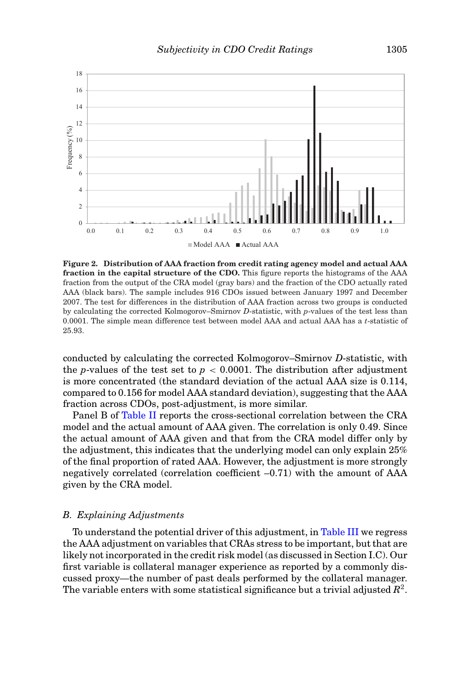<span id="page-12-0"></span>

**Figure 2. Distribution of AAA fraction from credit rating agency model and actual AAA fraction in the capital structure of the CDO.** This figure reports the histograms of the AAA fraction from the output of the CRA model (gray bars) and the fraction of the CDO actually rated AAA (black bars). The sample includes 916 CDOs issued between January 1997 and December 2007. The test for differences in the distribution of AAA fraction across two groups is conducted by calculating the corrected Kolmogorov–Smirnov *D*-statistic, with *p*-values of the test less than 0.0001. The simple mean difference test between model AAA and actual AAA has a *t*-statistic of 25.93.

conducted by calculating the corrected Kolmogorov–Smirnov *D*-statistic, with the *p*-values of the test set to  $p < 0.0001$ . The distribution after adjustment is more concentrated (the standard deviation of the actual AAA size is 0.114, compared to 0.156 for model AAA standard deviation), suggesting that the AAA fraction across CDOs, post-adjustment, is more similar.

Panel B of Table II reports the cross-sectional correlation between the CRA model and the actual amount of AAA given. The correlation is only 0.49. Since the actual amount of AAA given and that from the CRA model differ only by the adjustment, this indicates that the underlying model can only explain 25% of the final proportion of rated AAA. However, the adjustment is more strongly negatively correlated (correlation coefficient –0.71) with the amount of AAA given by the CRA model.

#### *B. Explaining Adjustments*

To understand the potential driver of this adjustment, in [Table III](#page-13-0) we regress the AAA adjustment on variables that CRAs stress to be important, but that are likely not incorporated in the credit risk model (as discussed in Section I.C). Our first variable is collateral manager experience as reported by a commonly discussed proxy—the number of past deals performed by the collateral manager. The variable enters with some statistical significance but a trivial adjusted *R*2.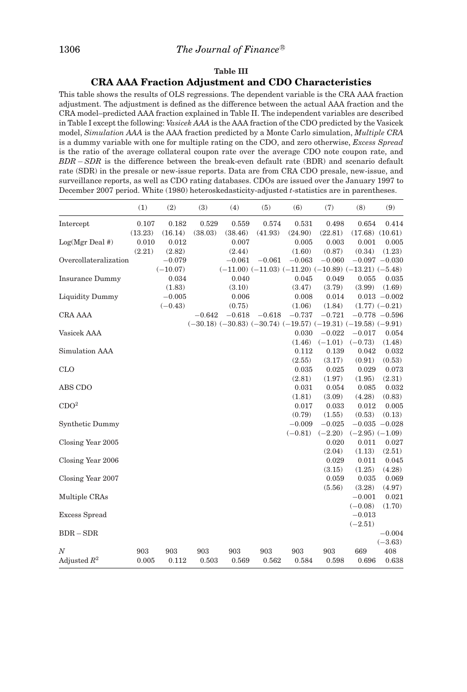### **Table III**

### **CRA AAA Fraction Adjustment and CDO Characteristics**

<span id="page-13-0"></span>This table shows the results of OLS regressions. The dependent variable is the CRA AAA fraction adjustment. The adjustment is defined as the difference between the actual AAA fraction and the CRA model–predicted AAA fraction explained in Table II. The independent variables are described in Table I except the following: *Vasicek AAA* is the AAA fraction of the CDO predicted by the Vasicek model, *Simulation AAA* is the AAA fraction predicted by a Monte Carlo simulation, *Multiple CRA* is a dummy variable with one for multiple rating on the CDO, and zero otherwise, *Excess Spread* is the ratio of the average collateral coupon rate over the average CDO note coupon rate, and *BDR* − *SDR* is the difference between the break-even default rate (BDR) and scenario default rate (SDR) in the presale or new-issue reports. Data are from CRA CDO presale, new-issue, and surveillance reports, as well as CDO rating databases. CDOs are issued over the January 1997 to December 2007 period. White (1980) heteroskedasticity-adjusted *t*-statistics are in parentheses.

|                        | (1)     | (2)        | (3)      | (4)                                                                         | (5)      | (6)       | (7)       | (8)                 | (9)              |
|------------------------|---------|------------|----------|-----------------------------------------------------------------------------|----------|-----------|-----------|---------------------|------------------|
| Intercept              | 0.107   | 0.182      | 0.529    | 0.559                                                                       | 0.574    | 0.531     | 0.498     | 0.654               | 0.414            |
|                        | (13.23) | (16.14)    | (38.03)  | (38.46)                                                                     | (41.93)  | (24.90)   | (22.81)   | $(17.68)$ $(10.61)$ |                  |
| $Log(Mgr\ Deal\#)$     | 0.010   | 0.012      |          | 0.007                                                                       |          | 0.005     | 0.003     | 0.001               | 0.005            |
|                        | (2.21)  | (2.82)     |          | (2.44)                                                                      |          | (1.60)    | (0.87)    | (0.34)              | (1.23)           |
| Overcollateralization  |         | $-0.079$   |          | $-0.061$                                                                    | $-0.061$ | $-0.063$  | $-0.060$  |                     | $-0.097 -0.030$  |
|                        |         | $(-10.07)$ |          | $(-11.00)$ $(-11.03)$ $(-11.20)$ $(-10.89)$ $(-13.21)$ $(-5.48)$            |          |           |           |                     |                  |
| <b>Insurance Dummy</b> |         | 0.034      |          | 0.040                                                                       |          | 0.045     | 0.049     | 0.055               | 0.035            |
|                        |         | (1.83)     |          | (3.10)                                                                      |          | (3.47)    | (3.79)    | (3.99)              | (1.69)           |
| <b>Liquidity Dummy</b> |         | $-0.005$   |          | 0.006                                                                       |          | 0.008     | 0.014     |                     | $0.013 - 0.002$  |
|                        |         | $(-0.43)$  |          | (0.75)                                                                      |          | (1.06)    | (1.84)    |                     | $(1.77) (-0.21)$ |
| CRA AAA                |         |            | $-0.642$ | $-0.618$                                                                    | $-0.618$ | $-0.737$  | $-0.721$  |                     | $-0.778 - 0.596$ |
|                        |         |            |          | $(-30.18)$ $(-30.83)$ $(-30.74)$ $(-19.57)$ $(-19.31)$ $(-19.58)$ $(-9.91)$ |          |           |           |                     |                  |
| Vasicek AAA            |         |            |          |                                                                             |          | 0.030     | $-0.022$  | $-0.017$            | 0.054            |
|                        |         |            |          |                                                                             |          | (1.46)    | $(-1.01)$ | $(-0.73)$           | (1.48)           |
| Simulation AAA         |         |            |          |                                                                             |          | 0.112     | 0.139     | 0.042               | 0.032            |
|                        |         |            |          |                                                                             |          | (2.55)    | (3.17)    | (0.91)              | (0.53)           |
| <b>CLO</b>             |         |            |          |                                                                             |          | 0.035     | 0.025     | 0.029               | 0.073            |
|                        |         |            |          |                                                                             |          | (2.81)    | (1.97)    | (1.95)              | (2.31)           |
| ABS CDO                |         |            |          |                                                                             |          | 0.031     | 0.054     | 0.085               | 0.032            |
|                        |         |            |          |                                                                             |          | (1.81)    | (3.09)    | (4.28)              | (0.83)           |
| $\rm CDO^2$            |         |            |          |                                                                             |          | 0.017     | 0.033     | 0.012               | 0.005            |
|                        |         |            |          |                                                                             |          | (0.79)    | (1.55)    | (0.53)              | (0.13)           |
| Synthetic Dummy        |         |            |          |                                                                             |          | $-0.009$  | $-0.025$  |                     | $-0.035 -0.028$  |
|                        |         |            |          |                                                                             |          | $(-0.81)$ | $(-2.20)$ | $(-2.95)$ $(-1.09)$ |                  |
| Closing Year 2005      |         |            |          |                                                                             |          |           | 0.020     | 0.011               | 0.027            |
|                        |         |            |          |                                                                             |          |           | (2.04)    | (1.13)              | (2.51)           |
| Closing Year 2006      |         |            |          |                                                                             |          |           | 0.029     | 0.011               | 0.045            |
|                        |         |            |          |                                                                             |          |           | (3.15)    | (1.25)              | (4.28)           |
| Closing Year 2007      |         |            |          |                                                                             |          |           | 0.059     | 0.035               | 0.069            |
|                        |         |            |          |                                                                             |          |           | (5.56)    | (3.28)              | (4.97)           |
| Multiple CRAs          |         |            |          |                                                                             |          |           |           | $-0.001$            | 0.021            |
|                        |         |            |          |                                                                             |          |           |           | $(-0.08)$           | (1.70)           |
| <b>Excess Spread</b>   |         |            |          |                                                                             |          |           |           | $-0.013$            |                  |
|                        |         |            |          |                                                                             |          |           |           | $(-2.51)$           |                  |
| $BDR - SDR$            |         |            |          |                                                                             |          |           |           |                     | $-0.004$         |
|                        |         |            |          |                                                                             |          |           |           |                     | $(-3.63)$        |
| $\boldsymbol{N}$       | 903     | 903        | 903      | 903                                                                         | 903      | 903       | 903       | 669                 | 408              |
| Adjusted $R^2$         | 0.005   | 0.112      | 0.503    | 0.569                                                                       | 0.562    | 0.584     | 0.598     | 0.696               | 0.638            |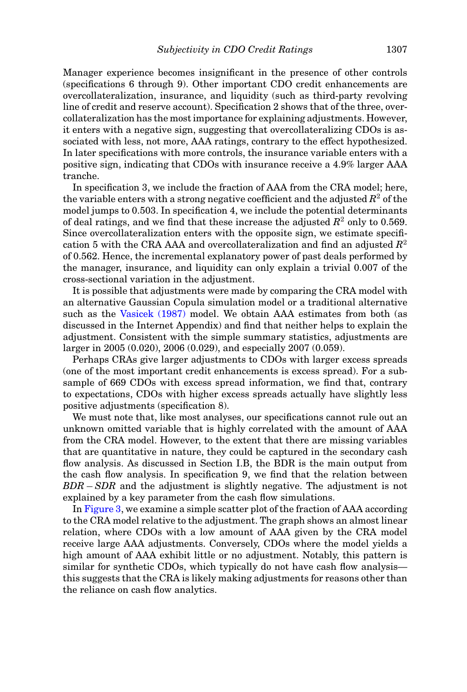Manager experience becomes insignificant in the presence of other controls (specifications 6 through 9). Other important CDO credit enhancements are overcollateralization, insurance, and liquidity (such as third-party revolving line of credit and reserve account). Specification 2 shows that of the three, overcollateralization has the most importance for explaining adjustments. However, it enters with a negative sign, suggesting that overcollateralizing CDOs is associated with less, not more, AAA ratings, contrary to the effect hypothesized. In later specifications with more controls, the insurance variable enters with a positive sign, indicating that CDOs with insurance receive a 4.9% larger AAA tranche.

In specification 3, we include the fraction of AAA from the CRA model; here, the variable enters with a strong negative coefficient and the adjusted  $R^2$  of the model jumps to 0.503. In specification 4, we include the potential determinants of deal ratings, and we find that these increase the adjusted  $R^2$  only to 0.569. Since overcollateralization enters with the opposite sign, we estimate specification 5 with the CRA AAA and overcollateralization and find an adjusted *R*<sup>2</sup> of 0.562. Hence, the incremental explanatory power of past deals performed by the manager, insurance, and liquidity can only explain a trivial 0.007 of the cross-sectional variation in the adjustment.

It is possible that adjustments were made by comparing the CRA model with an alternative Gaussian Copula simulation model or a traditional alternative such as the [Vasicek \(1987\)](#page-35-15) model. We obtain AAA estimates from both (as discussed in the Internet Appendix) and find that neither helps to explain the adjustment. Consistent with the simple summary statistics, adjustments are larger in 2005 (0.020), 2006 (0.029), and especially 2007 (0.059).

Perhaps CRAs give larger adjustments to CDOs with larger excess spreads (one of the most important credit enhancements is excess spread). For a subsample of 669 CDOs with excess spread information, we find that, contrary to expectations, CDOs with higher excess spreads actually have slightly less positive adjustments (specification 8).

We must note that, like most analyses, our specifications cannot rule out an unknown omitted variable that is highly correlated with the amount of AAA from the CRA model. However, to the extent that there are missing variables that are quantitative in nature, they could be captured in the secondary cash flow analysis. As discussed in Section I.B, the BDR is the main output from the cash flow analysis. In specification 9, we find that the relation between *BDR* − *SDR* and the adjustment is slightly negative. The adjustment is not explained by a key parameter from the cash flow simulations.

In [Figure 3,](#page-15-0) we examine a simple scatter plot of the fraction of AAA according to the CRA model relative to the adjustment. The graph shows an almost linear relation, where CDOs with a low amount of AAA given by the CRA model receive large AAA adjustments. Conversely, CDOs where the model yields a high amount of AAA exhibit little or no adjustment. Notably, this pattern is similar for synthetic CDOs, which typically do not have cash flow analysis this suggests that the CRA is likely making adjustments for reasons other than the reliance on cash flow analytics.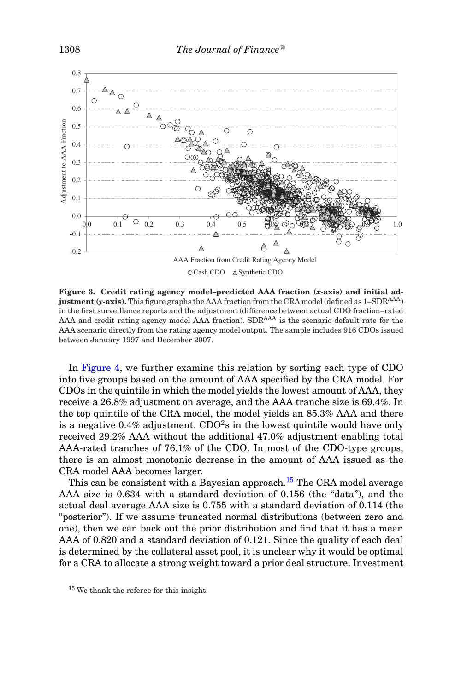<span id="page-15-0"></span>

**Figure 3. Credit rating agency model–predicted AAA fraction (***x***-axis) and initial adjustment (***y***-axis).** This figure graphs the AAA fraction from the CRA model (defined as 1–SDR<sup>AAA</sup>) in the first surveillance reports and the adjustment (difference between actual CDO fraction–rated AAA and credit rating agency model AAA fraction). SDR<sup>AAA</sup> is the scenario default rate for the AAA scenario directly from the rating agency model output. The sample includes 916 CDOs issued between January 1997 and December 2007.

In [Figure 4,](#page-16-0) we further examine this relation by sorting each type of CDO into five groups based on the amount of AAA specified by the CRA model. For CDOs in the quintile in which the model yields the lowest amount of AAA, they receive a 26.8% adjustment on average, and the AAA tranche size is 69.4%. In the top quintile of the CRA model, the model yields an 85.3% AAA and there is a negative  $0.4\%$  adjustment. CDO<sup>2</sup>s in the lowest quintile would have only received 29.2% AAA without the additional 47.0% adjustment enabling total AAA-rated tranches of 76.1% of the CDO. In most of the CDO-type groups, there is an almost monotonic decrease in the amount of AAA issued as the CRA model AAA becomes larger.

This can be consistent with a Bayesian approach.<sup>[15](#page-15-1)</sup> The CRA model average AAA size is 0.634 with a standard deviation of 0.156 (the "data"), and the actual deal average AAA size is 0.755 with a standard deviation of 0.114 (the "posterior"). If we assume truncated normal distributions (between zero and one), then we can back out the prior distribution and find that it has a mean AAA of 0.820 and a standard deviation of 0.121. Since the quality of each deal is determined by the collateral asset pool, it is unclear why it would be optimal for a CRA to allocate a strong weight toward a prior deal structure. Investment

<span id="page-15-2"></span><span id="page-15-1"></span><sup>&</sup>lt;sup>15</sup> We thank the referee for this insight.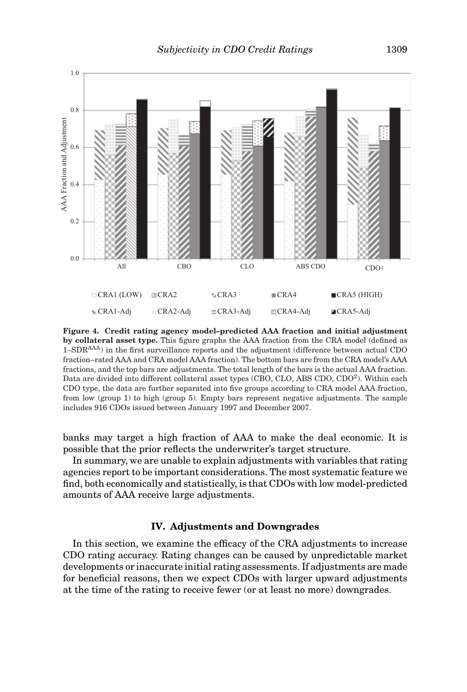<span id="page-16-0"></span>

**Figure 4. Credit rating agency model–predicted AAA fraction and initial adjustment by collateral asset type.** This figure graphs the AAA fraction from the CRA model (defined as 1–SDRAAA) in the first surveillance reports and the adjustment (difference between actual CDO fraction–rated AAA and CRA model AAA fraction). The bottom bars are from the CRA model's AAA fractions, and the top bars are adjustments. The total length of the bars is the actual AAA fraction. Data are divided into different collateral asset types (CBO, CLO, ABS CDO, CDO2). Within each CDO type, the data are further separated into five groups according to CRA model AAA fraction, from low (group 1) to high (group 5). Empty bars represent negative adjustments. The sample includes 916 CDOs issued between January 1997 and December 2007.

banks may target a high fraction of AAA to make the deal economic. It is possible that the prior reflects the underwriter's target structure.

In summary, we are unable to explain adjustments with variables that rating agencies report to be important considerations. The most systematic feature we find, both economically and statistically, is that CDOs with low model-predicted amounts of AAA receive large adjustments.

### **IV. Adjustments and Downgrades**

In this section, we examine the efficacy of the CRA adjustments to increase CDO rating accuracy. Rating changes can be caused by unpredictable market developments or inaccurate initial rating assessments. If adjustments are made for beneficial reasons, then we expect CDOs with larger upward adjustments at the time of the rating to receive fewer (or at least no more) downgrades.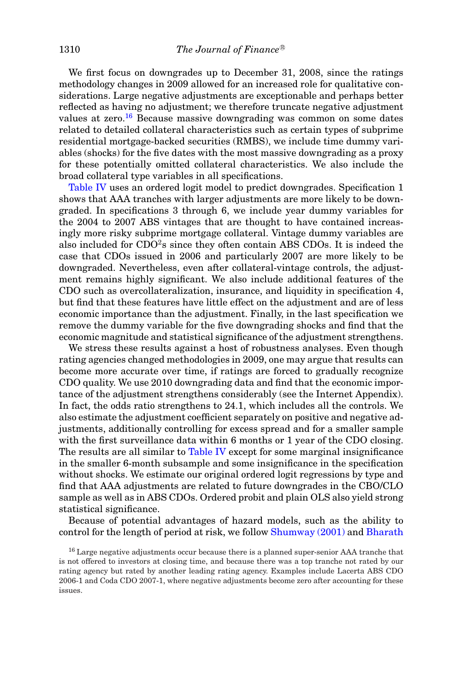We first focus on downgrades up to December 31, 2008, since the ratings methodology changes in 2009 allowed for an increased role for qualitative considerations. Large negative adjustments are exceptionable and perhaps better reflected as having no adjustment; we therefore truncate negative adjustment values at zero.<sup>16</sup> Because massive downgrading was common on some dates related to detailed collateral characteristics such as certain types of subprime residential mortgage-backed securities (RMBS), we include time dummy variables (shocks) for the five dates with the most massive downgrading as a proxy for these potentially omitted collateral characteristics. We also include the broad collateral type variables in all specifications.

[Table IV](#page-18-0) uses an ordered logit model to predict downgrades. Specification 1 shows that AAA tranches with larger adjustments are more likely to be downgraded. In specifications 3 through 6[,](#page-19-0) we include year dummy variables for the 2004 to 2007 ABS vintages that are thought to have contained increasingly more risky subprime mortgage collateral. Vintage dummy variables are also included for  $CDO<sup>2</sup>s$  since they often contain ABS CDOs. It is indeed the case that CDOs issued in 2006 and particularly 2007 are more likely to be downgraded. Nevertheless, even after collateral-vintage controls, the adjustment remains highly significant. We also include additional features of the CDO such as overcollateralization, insurance, and liquidity in specification 4, but find that these features have little effect on the adjustment and are of less economic importance than the adjustment. Finally, in the last specification we remove the dummy variable for the five downgrading shocks and find that the economic magnitude and statistical significance of the adjustment strengthens.

We stress these results against a host of robustness analyses. Even though rating agencies changed methodologies in 2009, one may argue that results can become more accurate over time, if ratings are forced to gradually recognize CDO quality. We use 2010 downgrading data and find that the economic importance of the adjustment strengthens considerably (see the Internet Appendix). In fact, the odds ratio strengthens to 24.1, which includes all the controls. We also estimate the adjustment coefficient separately on positive and negative adjustments, additionally controlling for excess spread and for a smaller sample with the first surveillance data within 6 months or 1 year of the CDO closing. The results are all similar to [Table IV](#page-18-0) except for some marginal insignificance in the smaller 6-month subsample and some insignificance in the specification without shocks. We estimate our original ordered logit regressions by type and find that AAA adjustments are related to future downgrades in the CBO/CLO sample as well as in ABS CDOs. Ordered probit and plain OLS also yield strong statistical significance.

Because of potential advantages of hazard models, such as the ability to control for the length of period at risk, we follow [Shumway \(2001\)](#page-35-16) and [Bharath](#page-34-24)

<span id="page-17-1"></span><span id="page-17-0"></span><sup>16</sup> Large negative adjustments occur because there is a planned super-senior AAA tranche that is not offered to investors at closing time, and because there was a top tranche not rated by our rating agency but rated by another leading rating agency. Examples include Lacerta ABS CDO 2006-1 and Coda CDO 2007-1, where negative adjustments become zero after accounting for these issues.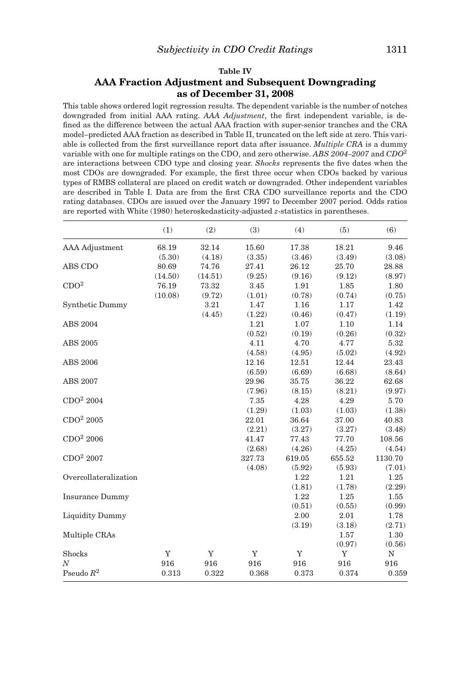### <span id="page-18-0"></span>**Table IV AAA Fraction Adjustment and Subsequent Downgrading as of December 31, 2008**

This table shows ordered logit regression results. The dependent variable is the number of notches downgraded from initial AAA rating. *AAA Adjustment*, the first independent variable, is defined as the difference between the actual AAA fraction with super-senior tranches and the CRA model–predicted AAA fraction as described in Table II, truncated on the left side at zero. This variable is collected from the first surveillance report data after issuance. *Multiple CRA* is a dummy variable with one for multiple ratings on the CDO, and zero otherwise. *ABS 2004–2007* and *CDO*<sup>2</sup> are interactions between CDO type and closing year. *Shocks* represents the five dates when the most CDOs are downgraded. For example, the first three occur when CDOs backed by various types of RMBS collateral are placed on credit watch or downgraded. Other independent variables are described in Table I. Data are from the first CRA CDO surveillance reports and the CDO rating databases. CDOs are issued over the January 1997 to December 2007 period. Odds ratios are reported with White (1980) heteroskedasticity-adjusted *z*-statistics in parentheses.

|                        | (1)     | (2)     | (3)    | (4)    | (5)    | (6)     |
|------------------------|---------|---------|--------|--------|--------|---------|
| <b>AAA</b> Adjustment  | 68.19   | 32.14   | 15.60  | 17.38  | 18.21  | 9.46    |
|                        | (5.30)  | (4.18)  | (3.35) | (3.46) | (3.49) | (3.08)  |
| ABS CDO                | 80.69   | 74.76   | 27.41  | 26.12  | 25.70  | 28.88   |
|                        | (14.50) | (14.51) | (9.25) | (9.16) | (9.12) | (8.97)  |
| CDO <sup>2</sup>       | 76.19   | 73.32   | 3.45   | 1.91   | 1.85   | 1.80    |
|                        | (10.08) | (9.72)  | (1.01) | (0.78) | (0.74) | (0.75)  |
| <b>Synthetic Dummy</b> |         | 3.21    | 1.47   | 1.16   | 1.17   | 1.42    |
|                        |         | (4.45)  | (1.22) | (0.46) | (0.47) | (1.19)  |
| <b>ABS 2004</b>        |         |         | 1.21   | 1.07   | 1.10   | 1.14    |
|                        |         |         | (0.52) | (0.19) | (0.26) | (0.32)  |
| <b>ABS 2005</b>        |         |         | 4.11   | 4.70   | 4.77   | 5.32    |
|                        |         |         | (4.58) | (4.95) | (5.02) | (4.92)  |
| <b>ABS 2006</b>        |         |         | 12.16  | 12.51  | 12.44  | 23.43   |
|                        |         |         | (6.59) | (6.69) | (6.68) | (8.64)  |
| <b>ABS 2007</b>        |         |         | 29.96  | 35.75  | 36.22  | 62.68   |
|                        |         |         | (7.96) | (8.15) | (8.21) | (9.97)  |
| CDO <sup>2</sup> 2004  |         |         | 7.35   | 4.28   | 4.29   | 5.70    |
|                        |         |         | (1.29) | (1.03) | (1.03) | (1.38)  |
| $CDO2$ 2005            |         |         | 22.01  | 36.64  | 37.00  | 40.83   |
|                        |         |         | (2.21) | (3.27) | (3.27) | (3.48)  |
| $CDO2$ 2006            |         |         | 41.47  | 77.43  | 77.70  | 108.56  |
|                        |         |         | (2.68) | (4.26) | (4.25) | (4.54)  |
| $CDO2$ 2007            |         |         | 327.73 | 619.05 | 655.52 | 1130.70 |
|                        |         |         | (4.08) | (5.92) | (5.93) | (7.01)  |
| Overcollateralization  |         |         |        | 1.22   | 1.21   | 1.25    |
|                        |         |         |        | (1.81) | (1.78) | (2.29)  |
| <b>Insurance Dummy</b> |         |         |        | 1.22   | 1.25   | 1.55    |
|                        |         |         |        | (0.51) | (0.55) | (0.99)  |
| <b>Liquidity Dummy</b> |         |         |        | 2.00   | 2.01   | 1.78    |
|                        |         |         |        | (3.19) | (3.18) | (2.71)  |
| Multiple CRAs          |         |         |        |        | 1.57   | 1.30    |
|                        |         |         |        |        | (0.97) | (0.56)  |
| Shocks                 | Y       | Y       | Y      | Y      | Y      | N       |
| $\overline{N}$         | 916     | 916     | 916    | 916    | 916    | 916     |
| Pseudo $R^2$           | 0.313   | 0.322   | 0.368  | 0.373  | 0.374  | 0.359   |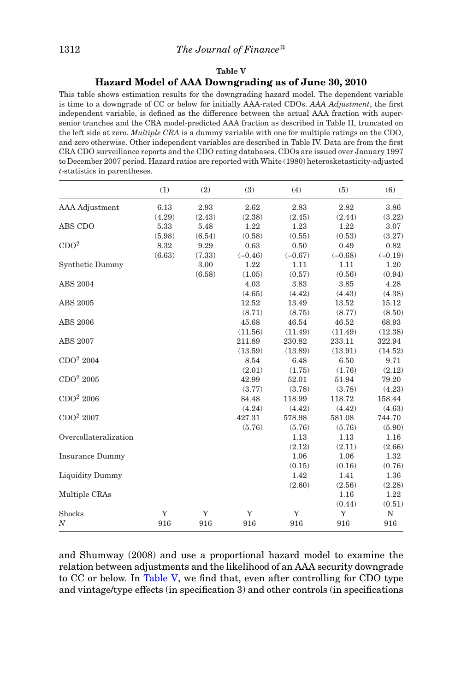#### **Table V**

#### **Hazard Model of AAA Downgrading as of June 30, 2010**

<span id="page-19-0"></span>This table shows estimation results for the downgrading hazard model. The dependent variable is time to a downgrade of CC or below for initially AAA-rated CDOs. *AAA Adjustment*, the first independent variable, is defined as the difference between the actual AAA fraction with supersenior tranches and the CRA model-predicted AAA fraction as described in Table II, truncated on the left side at zero. *Multiple CRA* is a dummy variable with one for multiple ratings on the CDO, and zero otherwise. Other independent variables are described in Table IV. Data are from the first CRA CDO surveillance reports and the CDO rating databases. CDOs are issued over January 1997 to December 2007 period. Hazard ratios are reported with White (1980) heterosketasticity-adjusted *t*-statistics in parentheses.

|                        | (1)    | (2)    | (3)       | (4)       | (5)       | (6)       |
|------------------------|--------|--------|-----------|-----------|-----------|-----------|
| <b>AAA</b> Adjustment  | 6.13   | 2.93   | 2.62      | 2.83      | 2.82      | 3.86      |
|                        | (4.29) | (2.43) | (2.38)    | (2.45)    | (2.44)    | (3.22)    |
| ABS CDO                | 5.33   | 5.48   | 1.22      | 1.23      | 1.22      | 3.07      |
|                        | (5.98) | (6.54) | (0.58)    | (0.55)    | (0.53)    | (3.27)    |
| CDO <sup>2</sup>       | 8.32   | 9.29   | 0.63      | 0.50      | 0.49      | 0.82      |
|                        | (6.63) | (7.33) | $(-0.46)$ | $(-0.67)$ | $(-0.68)$ | $(-0.19)$ |
| <b>Synthetic Dummy</b> |        | 3.00   | 1.22      | 1.11      | 1.11      | 1.20      |
|                        |        | (6.58) | (1.05)    | (0.57)    | (0.56)    | (0.94)    |
| <b>ABS 2004</b>        |        |        | 4.03      | 3.83      | 3.85      | 4.28      |
|                        |        |        | (4.65)    | (4.42)    | (4.43)    | (4.38)    |
| <b>ABS 2005</b>        |        |        | 12.52     | 13.49     | 13.52     | 15.12     |
|                        |        |        | (8.71)    | (8.75)    | (8.77)    | (8.50)    |
| <b>ABS 2006</b>        |        |        | 45.68     | 46.54     | 46.52     | 68.93     |
|                        |        |        | (11.56)   | (11.49)   | (11.49)   | (12.38)   |
| <b>ABS 2007</b>        |        |        | 211.89    | 230.82    | 233.11    | 322.94    |
|                        |        |        | (13.59)   | (13.89)   | (13.91)   | (14.52)   |
| CDO <sup>2</sup> 2004  |        |        | 8.54      | 6.48      | 6.50      | 9.71      |
|                        |        |        | (2.01)    | (1.75)    | (1.76)    | (2.12)    |
| $CDO2$ 2005            |        |        | 42.99     | 52.01     | 51.94     | 79.20     |
|                        |        |        | (3.77)    | (3.78)    | (3.78)    | (4.23)    |
| $CDO2$ 2006            |        |        | 84.48     | 118.99    | 118.72    | 158.44    |
|                        |        |        | (4.24)    | (4.42)    | (4.42)    | (4.63)    |
| $CDO2$ 2007            |        |        | 427.31    | 578.98    | 581.08    | 744.70    |
|                        |        |        | (5.76)    | (5.76)    | (5.76)    | (5.90)    |
| Overcollateralization  |        |        |           | 1.13      | 1.13      | 1.16      |
|                        |        |        |           | (2.12)    | (2.11)    | (2.66)    |
| <b>Insurance Dummy</b> |        |        |           | 1.06      | 1.06      | 1.32      |
|                        |        |        |           | (0.15)    | (0.16)    | (0.76)    |
| <b>Liquidity Dummy</b> |        |        |           | 1.42      | 1.41      | 1.36      |
|                        |        |        |           | (2.60)    | (2.56)    | (2.28)    |
| Multiple CRAs          |        |        |           |           | 1.16      | 1.22      |
|                        |        |        |           |           | (0.44)    | (0.51)    |
| Shocks                 | Y      | Y      | Y         | Y         | Y         | N         |
| $\boldsymbol{N}$       | 916    | 916    | 916       | 916       | 916       | 916       |

and Shumway (2008) and use a proportional hazard model to examine the relation between adjustments and the likelihood of an AAA security downgrade to CC or below. In [Table V,](#page-19-0) we find that, even after controlling for CDO type and vintage/type effects (in specification 3) and other controls (in specifications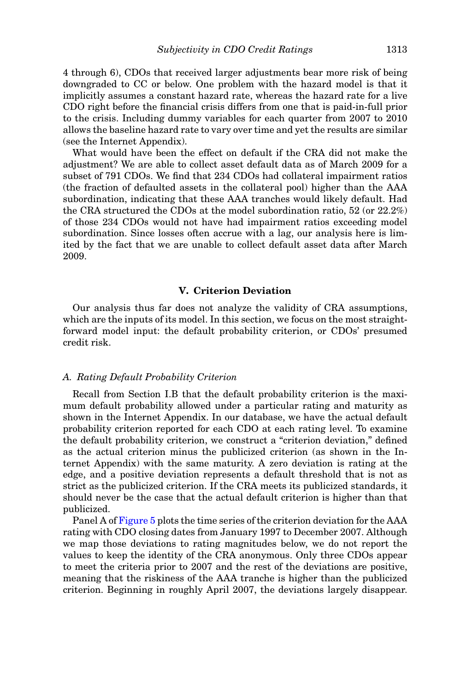4 through 6), CDOs that received larger adjustments bear more risk of being downgraded to CC or below. One problem with the hazard model is that it implicitly assumes a constant hazard rate, whereas the hazard rate for a live CDO right before the financial crisis differs from one that is paid-in-full prior to the crisis. Including dummy variables for each quarter from 2007 to 2010 allows the baseline hazard rate to vary over time and yet the results are similar (see the Internet Appendix).

What would have been the effect on default if the CRA did not make the adjustment? We are able to collect asset default data as of March 2009 for a subset of 791 CDOs. We find that 234 CDOs had collateral impairment ratios (the fraction of defaulted assets in the collateral pool) higher than the AAA subordination, indicating that these AAA tranches would likely default. Had the CRA structured the CDOs at the model subordination ratio, 52 (or 22.2%) of those 234 CDOs would not have had impairment ratios exceeding model subordination. Since losses often accrue with a lag, our analysis here is limited by the fact that we are unable to collect default asset data after March 2009.

### **V. Criterion Deviation**

Our analysis thus far does not analyze the validity of CRA assumptions, which are the inputs of its model. In this section, we focus on the most straightforward model input: the default probability criterion, or CDOs' presumed credit risk.

### *A. Rating Default Probability Criterion*

Recall from Section I.B that the default probability criterion is the maximum default probability allowed under a particular rating and maturity as shown in the Internet Appendix. In our database, we have the actual default probability criterion reported for each CDO at each rating level. To examine the default probability criterion, we construct a "criterion deviation," defined as the actual criterion minus the publicized criterion (as shown in the Internet Appendix) with the same maturity. A zero deviation is rating at the edge, and a positive deviation represents a default threshold that is not as strict as the publicized criterion. If the CRA meets its publicized standards, it should never be the case that the actual default criterion is higher than that publicized.

Panel A of [Figure 5](#page-21-0) plots the time series of the criterion deviation for the AAA rating with CDO closing dates from January 1997 to December 2007. Although we map those deviations to rating magnitudes below, we do not report the values to keep the identity of the CRA anonymous. Only three CDOs appear to meet the criteria prior to 2007 and the rest of the deviations are positive, meaning that the riskiness of the AAA tranche is higher than the publicized criterion. Beginning in roughly April 2007, the deviations largely disappear.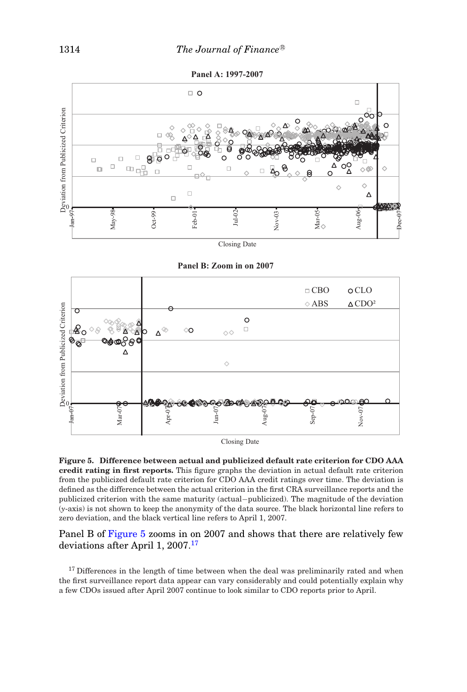

<span id="page-21-0"></span>

Closing Date

**Panel B: Zoom in on 2007** CBO CLO  $\Diamond$  ABS  $\triangle$  CDO<sup>2</sup> Deviation from Publicized Criterion Deviation from Publicized Criterion Ō  $\circ$ ®o Ò ം  $\Box$  $\Diamond \Diamond$ Δ ಶಿಂ 8 Δ  $\Diamond$ ⊋⊖ ∕2∋€2 Jan-07 0 Nov-07 Mar-07 Sep-07 Apr-07 Jun-07 Aug-

Closing Date

**Figure 5. Difference between actual and publicized default rate criterion for CDO AAA credit rating in first reports.** This figure graphs the deviation in actual default rate criterion from the publicized default rate criterion for CDO AAA credit ratings over time. The deviation is defined as the difference between the actual criterion in the first CRA surveillance reports and the publicized criterion with the same maturity (actual−publicized). The magnitude of the deviation (*y*-axis) is not shown to keep the anonymity of the data source. The black horizontal line refers to zero deviation, and the black vertical line refers to April 1, 2007.

Panel B of [Figure 5](#page-21-0) zooms in on 2007 and shows that there are relatively few deviations after April 1, 2007.<sup>[17](#page-21-1)</sup>

<span id="page-21-2"></span><span id="page-21-1"></span> $17$  Differences in the length of time between when the deal was preliminarily rated and when the first surveillance report data appear can vary considerably and could potentially explain why a few CDOs issued after April 2007 continue to look similar to CDO reports prior to April.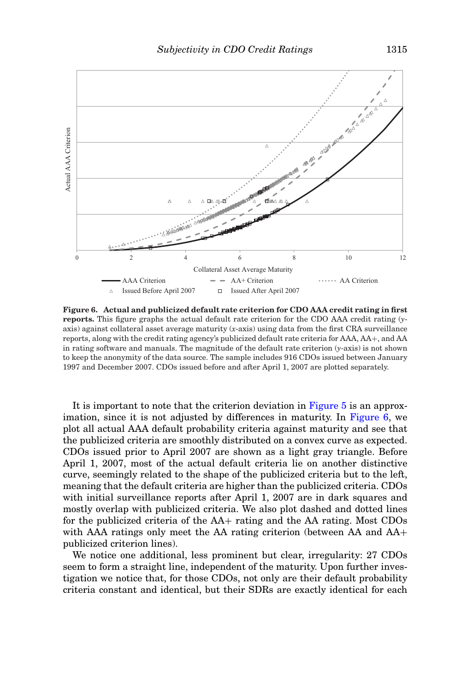<span id="page-22-0"></span>

**Figure 6. Actual and publicized default rate criterion for CDO AAA credit rating in first reports.** This figure graphs the actual default rate criterion for the CDO AAA credit rating (*y*axis) against collateral asset average maturity (*x*-axis) using data from the first CRA surveillance reports, along with the credit rating agency's publicized default rate criteria for AAA, AA+, and AA in rating software and manuals. The magnitude of the default rate criterion (*y*-axis) is not shown to keep the anonymity of the data source. The sample includes 916 CDOs issued between January 1997 and December 2007. CDOs issued before and after April 1, 2007 are plotted separately.

It is important to note that the criterion deviation in [Figure 5](#page-21-0) is an approximation, since it is not adjusted by differences in maturity. In [Figure 6,](#page-22-0) we plot all actual AAA default probability criteria against maturity and see that the publicized criteria are smoothly distributed on a convex curve as expected. CDOs issued prior to April 2007 are shown as a light gray triangle. Before April 1, 2007, most of the actual default criteria lie on another distinctive curve, seemingly related to the shape of the publicized criteria but to the left, meaning that the default criteria are higher than the publicized criteria. CDOs with initial surveillance reports after April 1, 2007 are in dark squares and mostly overlap with publicized criteria. We also plot dashed and dotted lines for the publicized criteria of the AA+ rating and the AA rating. Most CDOs with AAA ratings only meet the AA rating criterion (between AA and AA+ publicized criterion lines).

We notice one additional, less prominent but clear, irregularity: 27 CDOs seem to form a straight line, independent of the maturity. Upon further investigation we notice that, for those CDOs, not only are their default probability criteria constant and identical, but their SDRs are exactly identical for each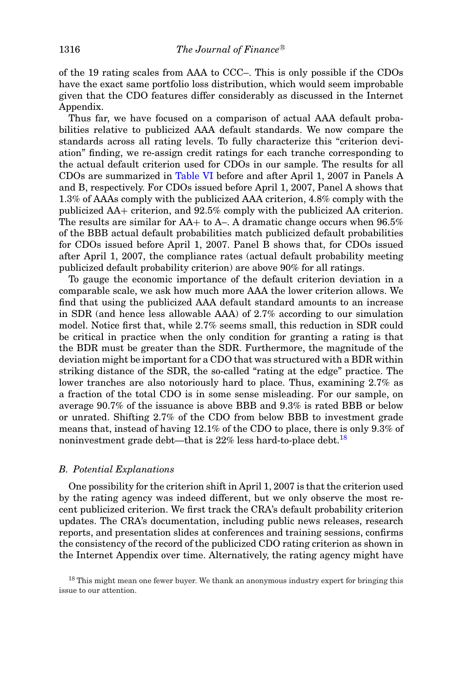of the 19 rating scales from AAA to CCC–. This is only possible if the CDOs have the exact same portfolio loss distribution, which would seem improbable given that the CDO features differ considerably as discussed in the Internet Appendix.

Thus far, we have focused on a comparison of actual AAA default probabilities relative to publicized AAA default standards. We now compare the standards across all rating levels. To fully characterize this "criterion deviation" finding, we re-assign credit ratings for each tranche corresponding to the actual default criterion used for CDOs in our sample. The results for all CDOs are summarized in [Table VI](#page-24-0) before and after April 1, 2007 in Panels A and B, respectively. For CDOs issued before April 1, 2007, Panel A shows that 1.3% of AAAs comply with the publicized AAA criterion, 4.8% comply with the publicized AA+ criterion, and 92.5% comply with the publicized AA criterion. The results are similar for  $AA+$  to  $A-$ . A dramatic change occurs when  $96.5\%$ of the BBB actual default probabilities match publicized default probabilities for CDOs issued before April 1, 2007. Panel B shows that, for CDOs issued after April 1, 2007, the compliance rates (actual default probability meeting publicized default probability criterion) are above 90% for all ratings.

To gauge the economic importance of the default criterion deviation in a comparable scale, we ask how much more AAA the lower criterion allows. We find that using the publicized AAA default standard amounts to an increase in SDR (and hence less allowable AAA) of 2.7% according to our simulation model. Notice first that, while 2.7% seems small, this reduction in SDR could be critical in practice when the only condition for granting a rating is that the BDR must be greater than the SDR. Furthermore, the magnitude of the deviation might be important for a CDO that was structured with a BDR within striking distance of the SDR, the so-called "rating at the edge" practice. The lower tranches are also notoriously hard to place. Thus, examining 2.7% as a fraction of the total CDO is in some sense misleading. For our sample, on average 90.7% of the issuance is above BBB and 9.3% is rated BBB or below or unrated. Shifting 2.7% of the CDO from below BBB to investment grade means that, instead of having 12.1% of the CDO to place, there is only 9.3% of noninvestment grade debt—that is 22% less hard-to-place debt.<sup>[18](#page-23-0)</sup>

#### *B. Potential Explanations*

One possibility for the criterion shift in April 1, 2007 is that the criterion used by the rating agency was indeed different, but we only observe the most recent publicized criterion. We first track the CRA's default probability criterion updates. The CRA's documentation, including public news releases, research reports, and presentation slides at conferences and training sessions, confirms the consistency of the record of the publicized CDO rating criterion as shown in the Internet Appendix over time. Alternatively, the rating agency might have

<span id="page-23-1"></span><span id="page-23-0"></span><sup>18</sup> This might mean one fewer buyer. We thank an anonymous industry expert for bringing this issue to our attention.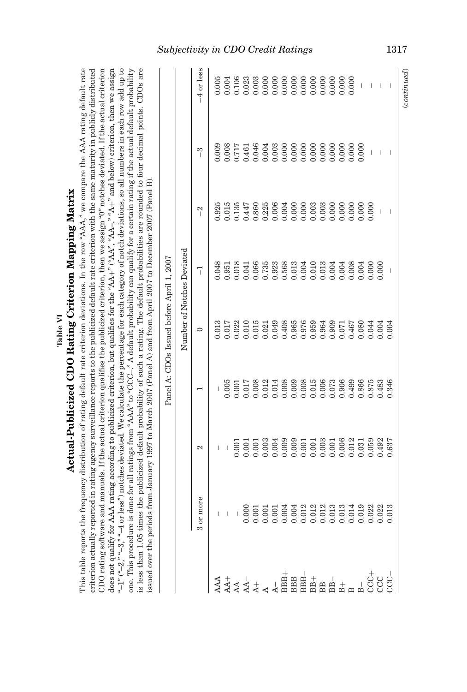| Actual-Publicized CDO Rating Criterion Mapping Matrix                                                                                                         |
|---------------------------------------------------------------------------------------------------------------------------------------------------------------|
| This table reports the frequency distribution of rating default rate criterion deviations. In the row "AAA," we compare the AAA rating default rate           |
| criterion actually reported in rating agency surveillance reports to the publicized default rate criterion with the same maturity in publicly distributed     |
| CDO rating software and manuals. If the actual criterion qualifies the publicized criterion, then we assign "0" notches deviated. If the actual criterion     |
| does not qualify for AAA rating according to publicized criterion, but qualifies for the "AA+" ("AA", "AA+" $A^*A^*$ and below) criterion, then we assign     |
| "-1" ("-2," "-3," "-4 or less") notches deviated. We calculate the percentage for each category of notch deviations, so all numbers in each row add up to     |
| for all ratings from "AAA" to "CCC-." A default probability can qualify for a certain rating if the actual default probability<br>one. This procedure is done |
| is less than 1.05 times the publicized default probability of such a rating. The default probabilities are rounded to four decimal points. CDOs are           |
| issued over the periods from January 1997 to March 2007 (Panel A) and from April 2007 to December 2007 (Panel B).                                             |
|                                                                                                                                                               |

<span id="page-24-0"></span>Panel A: CDOs Issued before April 1, 2007

Panel A: CDOs Issued before April 1, 2007

**Table VI**

Table  ${\rm VI}$ 

|         |   |         | Number of Notches Deviated |                                                                                                                                                                                                                                                                                                     |    |            |
|---------|---|---------|----------------------------|-----------------------------------------------------------------------------------------------------------------------------------------------------------------------------------------------------------------------------------------------------------------------------------------------------|----|------------|
| or more | 2 | $\circ$ | $\overline{1}$             | $\sim$                                                                                                                                                                                                                                                                                              | ှာ | -4 or less |
|         |   |         |                            |                                                                                                                                                                                                                                                                                                     |    |            |
|         |   |         |                            |                                                                                                                                                                                                                                                                                                     |    |            |
|         |   |         |                            |                                                                                                                                                                                                                                                                                                     |    |            |
|         |   |         |                            | $\begin{array}{l} 0.925 \\ 0.015 \\ 0.013 \\ 0.0147 \\ 0.000 \\ 0.000 \\ 0.000 \\ 0.000 \\ 0.000 \\ 0.000 \\ 0.000 \\ 0.000 \\ 0.000 \\ 0.000 \\ 0.000 \\ 0.000 \\ 0.000 \\ 0.000 \\ 0.000 \\ 0.000 \\ 0.000 \\ 0.000 \\ 0.000 \\ 0.000 \\ 0.000 \\ 0.000 \\ 0.000 \\ 0.000 \\ 0.000 \\ 0.000 \\ 0$ |    |            |
|         |   |         |                            |                                                                                                                                                                                                                                                                                                     |    |            |
|         |   |         |                            |                                                                                                                                                                                                                                                                                                     |    |            |
|         |   |         |                            |                                                                                                                                                                                                                                                                                                     |    |            |
|         |   |         |                            |                                                                                                                                                                                                                                                                                                     |    |            |
|         |   |         |                            |                                                                                                                                                                                                                                                                                                     |    |            |
|         |   |         |                            |                                                                                                                                                                                                                                                                                                     |    |            |
|         |   |         |                            |                                                                                                                                                                                                                                                                                                     |    |            |
|         |   |         |                            |                                                                                                                                                                                                                                                                                                     |    |            |
|         |   |         |                            |                                                                                                                                                                                                                                                                                                     |    |            |
|         |   |         |                            |                                                                                                                                                                                                                                                                                                     |    |            |
|         |   |         |                            |                                                                                                                                                                                                                                                                                                     |    |            |
|         |   |         |                            |                                                                                                                                                                                                                                                                                                     |    |            |
|         |   |         |                            |                                                                                                                                                                                                                                                                                                     |    |            |
|         |   |         |                            |                                                                                                                                                                                                                                                                                                     |    |            |
|         |   |         |                            |                                                                                                                                                                                                                                                                                                     |    |            |

# *Subjectivity in CDO Credit Ratings* 1317

(*continued*)

 $\left( continued\right)$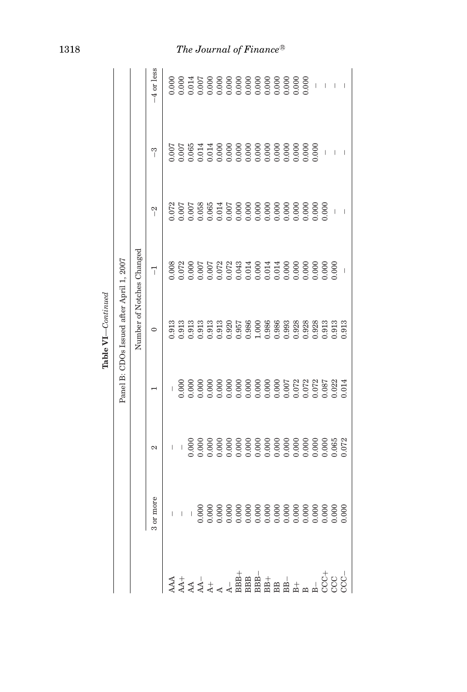|                                                                                                                                                                                                                                                                                                                                                                                                                                 |   | Panel B: CDOs Issued after April 1, 2007 |                           |                |     |              |
|---------------------------------------------------------------------------------------------------------------------------------------------------------------------------------------------------------------------------------------------------------------------------------------------------------------------------------------------------------------------------------------------------------------------------------|---|------------------------------------------|---------------------------|----------------|-----|--------------|
|                                                                                                                                                                                                                                                                                                                                                                                                                                 |   |                                          | Number of Notches Changed |                |     |              |
|                                                                                                                                                                                                                                                                                                                                                                                                                                 | 2 | $\circ$                                  | $\overline{1}$            | $\overline{c}$ | ကို | $-4$ or less |
| $\begin{array}{c cccccc} \texttt{m} & \texttt{m} & \texttt{m} & \texttt{m} & \texttt{m} & \texttt{m} & \texttt{m} & \texttt{m} & \texttt{m} & \texttt{m} & \texttt{m} & \texttt{m} & \texttt{m} & \texttt{m} & \texttt{m} & \texttt{m} & \texttt{m} & \texttt{m} & \texttt{m} & \texttt{m} & \texttt{m} & \texttt{m} & \texttt{m} & \texttt{m} & \texttt{m} & \texttt{m} & \texttt{m} & \texttt{m} & \texttt{m} & \texttt{m} &$ | I |                                          |                           |                |     |              |
|                                                                                                                                                                                                                                                                                                                                                                                                                                 |   |                                          |                           |                |     |              |
|                                                                                                                                                                                                                                                                                                                                                                                                                                 |   |                                          |                           |                |     |              |
|                                                                                                                                                                                                                                                                                                                                                                                                                                 |   |                                          |                           |                |     |              |
|                                                                                                                                                                                                                                                                                                                                                                                                                                 |   |                                          |                           |                |     |              |
|                                                                                                                                                                                                                                                                                                                                                                                                                                 |   |                                          |                           |                |     |              |
|                                                                                                                                                                                                                                                                                                                                                                                                                                 |   |                                          |                           |                |     |              |
|                                                                                                                                                                                                                                                                                                                                                                                                                                 |   |                                          |                           |                |     |              |
|                                                                                                                                                                                                                                                                                                                                                                                                                                 |   |                                          |                           |                |     |              |
|                                                                                                                                                                                                                                                                                                                                                                                                                                 |   |                                          |                           |                |     |              |
|                                                                                                                                                                                                                                                                                                                                                                                                                                 |   |                                          |                           |                |     |              |
|                                                                                                                                                                                                                                                                                                                                                                                                                                 |   |                                          |                           |                |     |              |
|                                                                                                                                                                                                                                                                                                                                                                                                                                 |   |                                          |                           |                |     |              |
|                                                                                                                                                                                                                                                                                                                                                                                                                                 |   |                                          |                           |                |     |              |
|                                                                                                                                                                                                                                                                                                                                                                                                                                 |   |                                          |                           |                |     |              |
|                                                                                                                                                                                                                                                                                                                                                                                                                                 |   |                                          |                           |                |     |              |
|                                                                                                                                                                                                                                                                                                                                                                                                                                 |   |                                          |                           | $-0.000$       |     |              |
|                                                                                                                                                                                                                                                                                                                                                                                                                                 |   |                                          |                           |                |     |              |
|                                                                                                                                                                                                                                                                                                                                                                                                                                 |   | 0.913                                    |                           |                |     |              |

<span id="page-25-0"></span>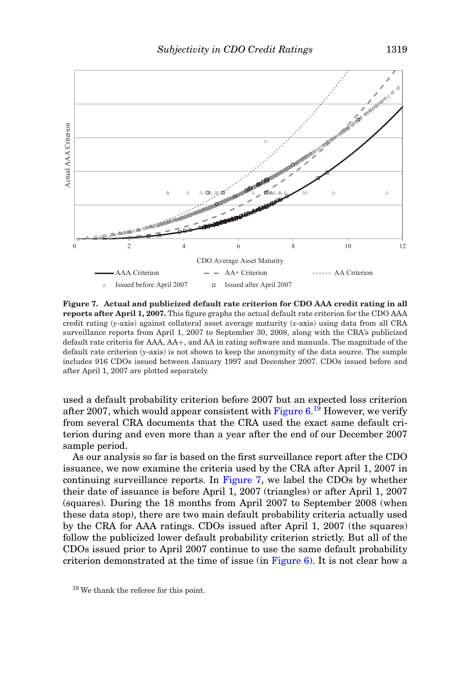<span id="page-26-2"></span>

**Figure 7. Actual and publicized default rate criterion for CDO AAA credit rating in all reports after April 1, 2007.** This figure graphs the actual default rate criterion for the CDO AAA credit rating (*y*-axis) against collateral asset average maturity (*x*-axis) using data from all CRA surveillance reports from April 1, 2007 to September 30, 2008, along with the CRA's publicized default rate criteria for AAA, AA+, and AA in rating software and manuals. The magnitude of the default rate criterion (*y*-axis) is not shown to keep the anonymity of the data source. The sample includes 916 CDOs issued between January 1997 and December 2007. CDOs issued before and after April 1, 2007 are plotted separately.

used a default probability criterion before 2007 but an expected loss criterion after 2007, which would appear consistent with Figure  $6.^{19}$  $6.^{19}$  $6.^{19}$  However, we verify from several CRA documents that the CRA used the exact same default criterion during and even more than a year after the end of our December 2007 sample period.

As our analysis so far is based on the first surveillance report after the CDO issuance, we now examine the criteria used by the CRA after April 1, 2007 in continuing surveillance reports. In [Figure 7,](#page-26-2) we label the CDOs by whether their date of issuance is before April 1, 2007 (triangles) or after April 1, 2007 (squares). During the 18 months from April 2007 to September 2008 (when these data stop), there are two main default probability criteria actually used by the CRA for AAA ratings. CDOs issued after April 1, 2007 (the squares) follow the publicized lower default probability criterion strictly. But all of the CDOs issued prior to April 2007 continue to use the same default probability criterion demonstrated at the time of issue (in [Figure 6\)](#page-22-0). It is not clear how a

<span id="page-26-1"></span><span id="page-26-0"></span><sup>19</sup> We thank the referee for this point.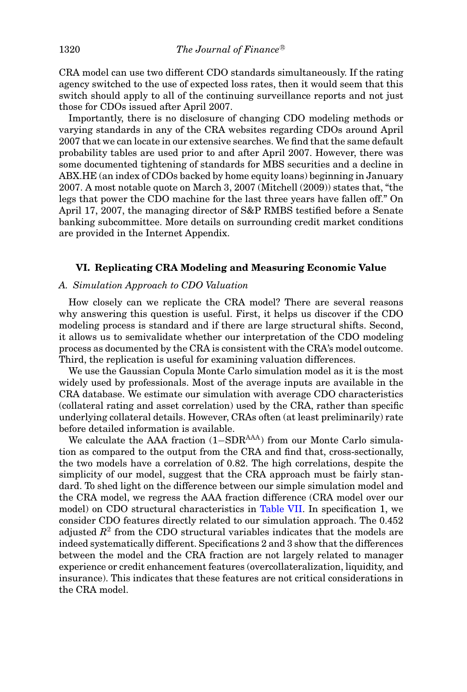CRA model can use two different CDO standards simultaneously. If the rating agency switched to the use of expected loss rates, then it would seem that this switch should apply to all of the continuing surveillance reports and not just those for CDOs issued after April 2007.

Importantly, there is no disclosure of changing CDO modeling methods or varying standards in any of the CRA websites regarding CDOs around April 2007 that we can locate in our extensive searches. We find that the same default probability tables are used prior to and after April 2007. However, there was some documented tightening of standards for MBS securities and a decline in ABX.HE (an index of CDOs backed by home equity loans) beginning in January 2007. A most notable quote on March 3, 2007 (Mitchell (2009)) states that, "the legs that power the CDO machine for the last three years have fallen off." On April 17, 2007, the managing director of S&P RMBS testified before a Senate banking subcommittee. More details on surrounding credit market conditions are provided in the Internet Appendix.

### **VI. Replicating CRA Modeling and Measuring Economic Value**

### *A. Simulation Approach to CDO Valuation*

How closely can we replicate the CRA model? There are several reasons why answering this question is useful. First, it helps us discover if the CDO modeling process is standard and if there are large structural shifts. Second, it allows us to semivalidate whether our interpretation of the CDO modeling process as documented by the CRA is consistent with the CRA's model outcome. Third, the replication is useful for examining valuation differences.

We use the Gaussian Copula Monte Carlo simulation model as it is the most widely used by professionals. Most of the average inputs are available in the CRA database. We estimate our simulation with average CDO characteristics (collateral rating and asset correlation) used by the CRA, rather than specific underlying collateral details. However, CRAs often (at least preliminarily) rate before detailed information is available.

We calculate the AAA fraction (1–SDR<sup>AAA</sup>) from our Monte Carlo simulation as compared to the output from the CRA and find that, cross-sectionally, the two models have a correlation of 0.82. The high correlations, despite the simplicity of our model, suggest that the CRA approach must be fairly standard. To shed light on the difference between our simple simulation model and the CRA model, we regress the AAA fraction difference (CRA model over our model) on CDO structural characteristics in [Table VII.](#page-28-0) In specification 1, we consider CDO features directly related to our simulation approach. The 0.452 adjusted  $R<sup>2</sup>$  from the CDO structural variables indicates that the models are indeed systematically different. Specifications 2 and 3 show that the differences between the model and the CRA fraction are not largely related to manager experience or credit enhancement features (overcollateralization, liquidity, and insurance). This indicates that these features are not critical considerations in the CRA model.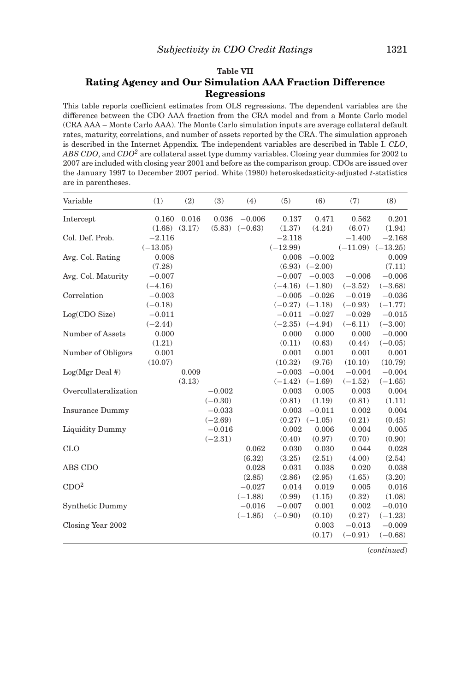### <span id="page-28-0"></span>**Table VII Rating Agency and Our Simulation AAA Fraction Difference Regressions**

This table reports coefficient estimates from OLS regressions. The dependent variables are the difference between the CDO AAA fraction from the CRA model and from a Monte Carlo model (CRA AAA – Monte Carlo AAA). The Monte Carlo simulation inputs are average collateral default rates, maturity, correlations, and number of assets reported by the CRA. The simulation approach is described in the Internet Appendix. The independent variables are described in Table I. *CLO*, *ABS CDO*, and *CDO<sup>2</sup>* are collateral asset type dummy variables. Closing year dummies for 2002 to 2007 are included with closing year 2001 and before as the comparison group. CDOs are issued over the January 1997 to December 2007 period. White (1980) heteroskedasticity-adjusted *t*-statistics are in parentheses.

| Variable               | (1)        | (2)    | (3)       | (4)       | (5)        | (6)       | (7)        | (8)        |
|------------------------|------------|--------|-----------|-----------|------------|-----------|------------|------------|
| Intercept              | 0.160      | 0.016  | 0.036     | $-0.006$  | 0.137      | 0.471     | 0.562      | 0.201      |
|                        | (1.68)     | (3.17) | (5.83)    | $(-0.63)$ | (1.37)     | (4.24)    | (6.07)     | (1.94)     |
| Col. Def. Prob.        | $-2.116$   |        |           |           | $-2.118$   |           | $-1.400$   | $-2.168$   |
|                        | $(-13.05)$ |        |           |           | $(-12.99)$ |           | $(-11.09)$ | $(-13.25)$ |
| Avg. Col. Rating       | 0.008      |        |           |           | 0.008      | $-0.002$  |            | 0.009      |
|                        | (7.28)     |        |           |           | (6.93)     | $(-2.00)$ |            | (7.11)     |
| Avg. Col. Maturity     | $-0.007$   |        |           |           | $-0.007$   | $-0.003$  | $-0.006$   | $-0.006$   |
|                        | $(-4.16)$  |        |           |           | $(-4.16)$  | $(-1.80)$ | $(-3.52)$  | $(-3.68)$  |
| Correlation            | $-0.003$   |        |           |           | $-0.005$   | $-0.026$  | $-0.019$   | $-0.036$   |
|                        | $(-0.18)$  |        |           |           | $(-0.27)$  | $(-1.18)$ | $(-0.93)$  | $(-1.77)$  |
| Log(CDO Size)          | $-0.011$   |        |           |           | $-0.011$   | $-0.027$  | $-0.029$   | $-0.015$   |
|                        | $(-2.44)$  |        |           |           | $(-2.35)$  | $(-4.94)$ | $(-6.11)$  | $(-3.00)$  |
| Number of Assets       | 0.000      |        |           |           | 0.000      | 0.000     | 0.000      | $-0.000$   |
|                        | (1.21)     |        |           |           | (0.11)     | (0.63)    | (0.44)     | $(-0.05)$  |
| Number of Obligors     | 0.001      |        |           |           | 0.001      | 0.001     | 0.001      | 0.001      |
|                        | (10.07)    |        |           |           | (10.32)    | (9.76)    | (10.10)    | (10.79)    |
| $Log(Mgr\ Deal\#)$     |            | 0.009  |           |           | $-0.003$   | $-0.004$  | $-0.004$   | $-0.004$   |
|                        |            | (3.13) |           |           | $(-1.42)$  | $(-1.69)$ | $(-1.52)$  | $(-1.65)$  |
| Overcollateralization  |            |        | $-0.002$  |           | 0.003      | 0.005     | 0.003      | 0.004      |
|                        |            |        | $(-0.30)$ |           | (0.81)     | (1.19)    | (0.81)     | (1.11)     |
| <b>Insurance Dummy</b> |            |        | $-0.033$  |           | 0.003      | $-0.011$  | 0.002      | 0.004      |
|                        |            |        | $(-2.69)$ |           | (0.27)     | $(-1.05)$ | (0.21)     | (0.45)     |
| <b>Liquidity Dummy</b> |            |        | $-0.016$  |           | 0.002      | 0.006     | 0.004      | 0.005      |
|                        |            |        | $(-2.31)$ |           | (0.40)     | (0.97)    | (0.70)     | (0.90)     |
| <b>CLO</b>             |            |        |           | 0.062     | 0.030      | 0.030     | 0.044      | 0.028      |
|                        |            |        |           | (6.32)    | (3.25)     | (2.51)    | (4.00)     | (2.54)     |
| ABS CDO                |            |        |           | 0.028     | 0.031      | 0.038     | 0.020      | 0.038      |
|                        |            |        |           | (2.85)    | (2.86)     | (2.95)    | (1.65)     | (3.20)     |
| CDO <sup>2</sup>       |            |        |           | $-0.027$  | 0.014      | 0.019     | 0.005      | 0.016      |
|                        |            |        |           | $(-1.88)$ | (0.99)     | (1.15)    | (0.32)     | (1.08)     |
| <b>Synthetic Dummy</b> |            |        |           | $-0.016$  | $-0.007$   | 0.001     | 0.002      | $-0.010$   |
|                        |            |        |           | $(-1.85)$ | $(-0.90)$  | (0.10)    | (0.27)     | $(-1.23)$  |
| Closing Year 2002      |            |        |           |           |            | 0.003     | $-0.013$   | $-0.009$   |
|                        |            |        |           |           |            | (0.17)    | $(-0.91)$  | $(-0.68)$  |
|                        |            |        |           |           |            |           |            |            |

(*continued*)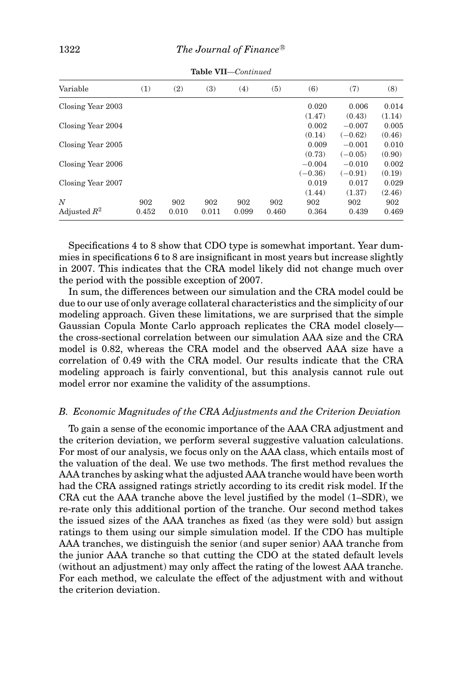<span id="page-29-0"></span>

| Variable          | (1)   | (2)   | (3)   | (4)   | (5)   | (6)       | (7)       | (8)    |
|-------------------|-------|-------|-------|-------|-------|-----------|-----------|--------|
| Closing Year 2003 |       |       |       |       |       | 0.020     | 0.006     | 0.014  |
|                   |       |       |       |       |       | (1.47)    | (0.43)    | (1.14) |
| Closing Year 2004 |       |       |       |       |       | 0.002     | $-0.007$  | 0.005  |
|                   |       |       |       |       |       | (0.14)    | $(-0.62)$ | (0.46) |
| Closing Year 2005 |       |       |       |       |       | 0.009     | $-0.001$  | 0.010  |
|                   |       |       |       |       |       | (0.73)    | $(-0.05)$ | (0.90) |
| Closing Year 2006 |       |       |       |       |       | $-0.004$  | $-0.010$  | 0.002  |
|                   |       |       |       |       |       | $(-0.36)$ | $(-0.91)$ | (0.19) |
| Closing Year 2007 |       |       |       |       |       | 0.019     | 0.017     | 0.029  |
|                   |       |       |       |       |       | (1.44)    | (1.37)    | (2.46) |
| $\boldsymbol{N}$  | 902   | 902   | 902   | 902   | 902   | 902       | 902       | 902    |
| Adjusted $R^2$    | 0.452 | 0.010 | 0.011 | 0.099 | 0.460 | 0.364     | 0.439     | 0.469  |

**Table VII**—*Continued*

Specifications 4 to 8 show that CDO type is somewhat important. Year dummies in specifications 6 to 8 are insignificant in most years but increase slightly in 2007. This indicates that the CRA model likely did not change much over the period with the possible exception of 2007.

In sum, the differences between our simulation and the CRA model could be due to our use of only average collateral characteristics and the simplicity of our modeling approach. Given these limitations, we are surprised that the simple Gaussian Copula Monte Carlo approach replicates the CRA model closely the cross-sectional correlation between our simulation AAA size and the CRA model is 0.82, whereas the CRA model and the observed AAA size have a correlation of 0.49 with the CRA model. Our results indicate that the CRA modeling approach is fairly conventional, but this analysis cannot rule out model error nor examine the validity of the assumptions.

### *B. Economic Magnitudes of the CRA Adjustments and the Criterion Deviation*

To gain a sense of the economic importance of the AAA CRA adjustment and the criterion deviation, we perform several suggestive valuation calculations. For most of our analysis, we focus only on the AAA class, which entails most of the valuation of the deal. We use two methods. The first method revalues the AAA tranches by asking what the adjusted AAA tranche would have been worth had the CRA assigned ratings strictly according to its credit risk model. If the CRA cut the AAA tranche above the level justified by the model (1–SDR), we re-rate only this additional portion of the tranche. Our second method takes the issued sizes of the AAA tranches as fixed (as they were sold) but assign ratings to them using our simple simulation model. If the CDO has multiple AAA tranches, we distinguish the senior (and super senior) AAA tranche from the junior AAA tranche so that cutting the CDO at the stated default levels (without an adjustment) may only affect the rating of the lowest AAA tranche. For each method, we calculate the effect of the adjustment with and without the criterion deviation.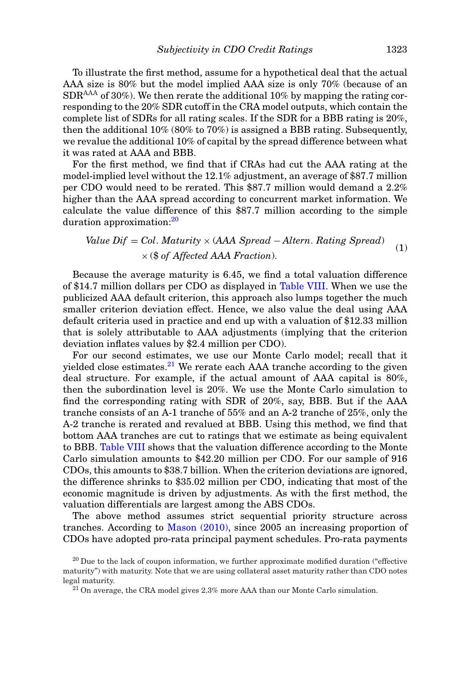To illustrate the first method, assume for a hypothetical deal that the actual AAA size is 80% but the model implied AAA size is only 70% (because of an  $SDR<sup>AAA</sup>$  of 30%). We then rerate the additional 10% by mapping the rating corresponding to the 20% SDR cutoff in the CRA model outputs, which contain the complete list of SDRs for all rating scales. If the SDR for a BBB rating is 20%, then the additional 10% (80% to 70%) is assigned a BBB rating. Subsequently, we revalue the additional 10% of capital by the spread difference between what it was rated at AAA and BBB.

For the first method, we find that if CRAs had cut the AAA rating at the model-implied level without the 12.1% adjustment, an average of \$87.7 million per CDO would need to be rerated. This \$87.7 million would demand a 2.2% higher than the AAA spread according to concurrent market information. We calculate the value difference of this \$87.7 million according to the simple duration approximation:<sup>[20](#page-30-0)</sup>

## *Value Dif* = *Col. Maturity* × (*AAA Spread* − *Altern. Rating Spread*)  $\times$  (\$ of Affected AAA Fraction).  $(1)$

Because the average maturity is 6.45, we find a total valuation difference of \$14.7 million dollars per CDO as displayed in [Table VIII.](#page-31-0) When we use the publicized AAA default criterion, this approach also lumps together the much smaller criterion deviation effect. Hence, we also value the deal using AAA default criteria used in practice and end up with a valuation of \$12.33 million that is solely attributable to AAA adjustments (implying that the criterion deviation inflates values by \$2.4 million per CDO).

For our second estimates, we use our Monte Carlo model; recall that it vielded close estimates.<sup>21</sup> We rerate each AAA tranche according to the given deal structure. For example, if the actual amount of AAA capital is 80%, then the subordination level is 20%. We use the Monte Carlo simulation to find the corresponding rating with SDR of 20%, say, BBB. But if the AAA tranche consists of an A-1 tranche of 55% and an A-2 tranche of 25%, only the A-2 tranche is rerated and revalued at BBB. Using this method, we find that bottom AAA tranches are cut to ratings that we estimate as being equivalent to BBB. [Table VIII](#page-31-0) shows that the valuation difference according to the Monte Carlo simulation amounts to \$42.20 million per CDO. For our sample of 916 CDOs, this amounts to \$38.7 billion. When the criterion deviations are ignored, the difference shrinks to \$35.02 million per CDO, indicating that most of the economic magnitude is driven by adjustments. As with the first method, the valuation differentials are largest among the ABS CDOs.

The above method assumes strict sequential priority structure across tranches. According to [Mason \(2010\),](#page-34-25) since 2005 an increasing proportion of CDOs have adopted pro-rata principal payment schedules. Pro-rata payments

<span id="page-30-1"></span><span id="page-30-0"></span> $^{20}$  Due to the lack of coupon information, we further approximate modified duration ("effective") maturity") with maturity. Note that we are using collateral asset maturity rather than CDO notes legal maturity.

<span id="page-30-3"></span><span id="page-30-2"></span> $^{21}$  On average, the CRA model gives 2.3% more AAA than our Monte Carlo simulation.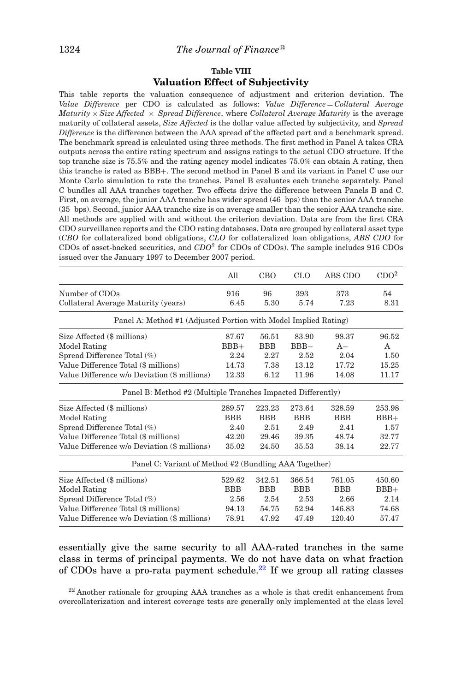### **Table VIII Valuation Effect of Subjectivity**

<span id="page-31-0"></span>This table reports the valuation consequence of adjustment and criterion deviation. The *Value Difference* per CDO is calculated as follows: *Value Difference* = *Collateral Average Maturity*  $\times$  *Size Affected*  $\times$  *Spread Difference*, where *Collateral Average Maturity* is the average maturity of collateral assets, *Size Affected* is the dollar value affected by subjectivity, and *Spread Difference* is the difference between the AAA spread of the affected part and a benchmark spread. The benchmark spread is calculated using three methods. The first method in Panel A takes CRA outputs across the entire rating spectrum and assigns ratings to the actual CDO structure. If the top tranche size is 75.5% and the rating agency model indicates 75.0% can obtain A rating, then this tranche is rated as BBB+. The second method in Panel B and its variant in Panel C use our Monte Carlo simulation to rate the tranches. Panel B evaluates each tranche separately. Panel C bundles all AAA tranches together. Two effects drive the difference between Panels B and C. First, on average, the junior AAA tranche has wider spread (46 bps) than the senior AAA tranche (35 bps). Second, junior AAA tranche size is on average smaller than the senior AAA tranche size. All methods are applied with and without the criterion deviation. Data are from the first CRA CDO surveillance reports and the CDO rating databases. Data are grouped by collateral asset type (*CBO* for collateralized bond obligations, *CLO* for collateralized loan obligations, *ABS CDO* for CDOs of asset-backed securities, and *CDO2* for CDOs of CDOs). The sample includes 916 CDOs issued over the January 1997 to December 2007 period.

|                                                                 | All        | <b>CBO</b> | CLO        | ABS CDO    | CDO <sup>2</sup> |
|-----------------------------------------------------------------|------------|------------|------------|------------|------------------|
| Number of CDOs                                                  | 916        | 96         | 393        | 373        | 54               |
| Collateral Average Maturity (years)                             | 6.45       | 5.30       | 5.74       | 7.23       | 8.31             |
| Panel A: Method #1 (Adjusted Portion with Model Implied Rating) |            |            |            |            |                  |
| Size Affected (\$ millions)                                     | 87.67      | 56.51      | 83.90      | 98.37      | 96.52            |
| Model Rating                                                    | $BBB+$     | <b>BBB</b> | $BBB -$    | $A -$      | $\mathsf{A}$     |
| Spread Difference Total (%)                                     | 2.24       | 2.27       | 2.52       | 2.04       | 1.50             |
| Value Difference Total (\$ millions)                            | 14.73      | 7.38       | 13.12      | 17.72      | 15.25            |
| Value Difference w/o Deviation (\$ millions)                    | 12.33      | 6.12       | 11.96      | 14.08      | 11.17            |
| Panel B: Method #2 (Multiple Tranches Impacted Differently)     |            |            |            |            |                  |
| Size Affected (\$ millions)                                     | 289.57     | 223.23     | 273.64     | 328.59     | 253.98           |
| Model Rating                                                    | <b>BBB</b> | <b>BBB</b> | <b>BBB</b> | <b>BBB</b> | $BBB+$           |
| Spread Difference Total (%)                                     | 2.40       | 2.51       | 2.49       | 2.41       | 1.57             |
| Value Difference Total (\$ millions)                            | 42.20      | 29.46      | 39.35      | 48.74      | 32.77            |
| Value Difference w/o Deviation (\$ millions)                    | 35.02      | 24.50      | 35.53      | 38.14      | 22.77            |
| Panel C: Variant of Method #2 (Bundling AAA Together)           |            |            |            |            |                  |
| Size Affected (\$ millions)                                     | 529.62     | 342.51     | 366.54     | 761.05     | 450.60           |
| Model Rating                                                    | <b>BBB</b> | <b>BBB</b> | <b>BBB</b> | <b>BBB</b> | $BBB+$           |
| Spread Difference Total (%)                                     | 2.56       | 2.54       | 2.53       | 2.66       | 2.14             |
| Value Difference Total (\$ millions)                            | 94.13      | 54.75      | 52.94      | 146.83     | 74.68            |
| Value Difference w/o Deviation (\$ millions)                    | 78.91      | 47.92      | 47.49      | 120.40     | 57.47            |

essentially give the same security to all AAA-rated tranches in the same class in terms of principal payments. We do not have data on what fraction of CDOs have a pro-rata payment schedule.<sup>[22](#page-31-1)</sup> If we group all rating classes

<span id="page-31-2"></span><span id="page-31-1"></span> $22$  Another rationale for grouping AAA tranches as a whole is that credit enhancement from overcollaterization and interest coverage tests are generally only implemented at the class level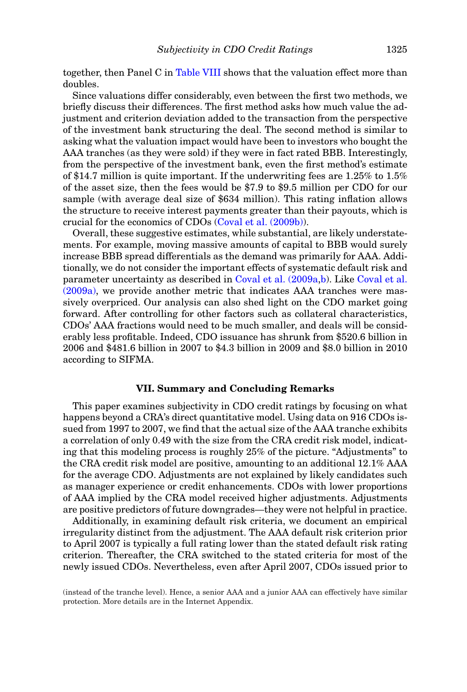together, then Panel C in [Table VIII](#page-31-0) shows that the valuation effect more than doubles.

Since valuations differ considerably, even between the first two methods, we briefly discuss their differences. The first method asks how much value the adjustment and criterion deviation added to the transaction from the perspective of the investment bank structuring the deal. The second method is similar to asking what the valuation impact would have been to investors who bought the AAA tranches (as they were sold) if they were in fact rated BBB. Interestingly, from the perspective of the investment bank, even the first method's estimate of \$14.7 million is quite important. If the underwriting fees are 1.25% to 1.5% of the asset size, then the fees would be \$7.9 to \$9.5 million per CDO for our sample (with average deal size of \$634 million). This rating inflation allows the structure to receive interest payments greater than their payouts, which is crucial for the economics of CDOs [\(Coval et al. \(2009b\)\)](#page-34-1).

Overall, these suggestive estimates, while substantial, are likely understatements. For example, moving massive amounts of capital to BBB would surely increase BBB spread differentials as the demand was primarily for AAA. Additionally, we do not consider the important effects of systematic default risk and parameter uncertainty as described in [Coval et al. \(2009a,](#page-34-2)[b\)](#page-34-1). Like [Coval et al.](#page-34-2) [\(2009a\),](#page-34-2) we provide another metric that indicates AAA tranches were massively overpriced. Our analysis can also shed light on the CDO market going forward. After controlling for other factors such as collateral characteristics, CDOs' AAA fractions would need to be much smaller, and deals will be considerably less profitable. Indeed, CDO issuance has shrunk from \$520.6 billion in 2006 and \$481.6 billion in 2007 to \$4.3 billion in 2009 and \$8.0 billion in 2010 according to SIFMA.

### **VII. Summary and Concluding Remarks**

This paper examines subjectivity in CDO credit ratings by focusing on what happens beyond a CRA's direct quantitative model. Using data on 916 CDOs issued from 1997 to 2007, we find that the actual size of the AAA tranche exhibits a correlation of only 0.49 with the size from the CRA credit risk model, indicating that this modeling process is roughly 25% of the picture. "Adjustments" to the CRA credit risk model are positive, amounting to an additional 12.1% AAA for the average CDO. Adjustments are not explained by likely candidates such as manager experience or credit enhancements. CDOs with lower proportions of AAA implied by the CRA model received higher adjustments. Adjustments are positive predictors of future downgrades—they were not helpful in practice.

Additionally, in examining default risk criteria, we document an empirical irregularity distinct from the adjustment. The AAA default risk criterion prior to April 2007 is typically a full rating lower than the stated default risk rating criterion. Thereafter, the CRA switched to the stated criteria for most of the newly issued CDOs. Nevertheless, even after April 2007, CDOs issued prior to

<sup>(</sup>instead of the tranche level). Hence, a senior AAA and a junior AAA can effectively have similar protection. More details are in the Internet Appendix.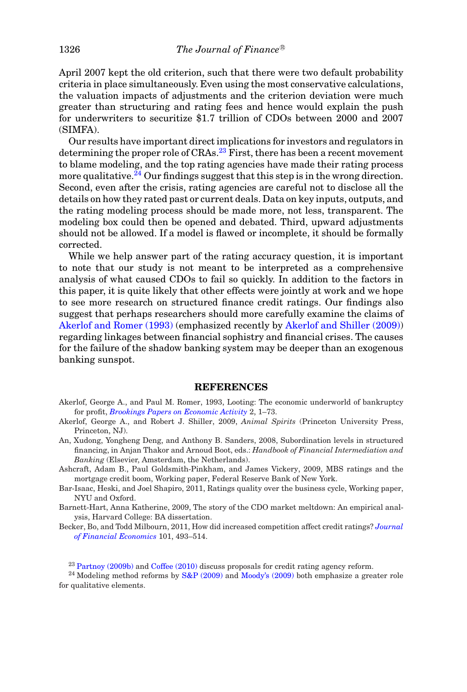April 2007 kept the old criterion, such that there were two default probability criteria in place simultaneously. Even using the most conservative calculations, the valuation impacts of adjustments and the criterion deviation were much greater than structuring and rating fees and hence would explain the push for underwriters to securitize \$1.7 trillion of CDOs between 2000 and 2007 (SIMFA).

Our results have important direct implications for investors and regulators in determining the proper role of CRAs.<sup>[23](#page-33-5)</sup> First, there has been a recent movement to blame modeling, and the top rating agencies have made their rating process more qualitative. $24$  Our findings suggest that this step is in the wrong direction. Second, even after the crisis, rating agencies are careful not to disclose all the details on how they rated past or current deals. Data on key inputs, outputs, and the rating modeling process should be made more, not less, transparent. The modeling box could then be opened and debated. Third, upward adjustments should not be allowed. If a model is flawed or incomplete, it should be formally corrected.

While we help answer part of the rating accuracy question, it is important to note that our study is not meant to be interpreted as a comprehensive analysis of what caused CDOs to fail so quickly. In addition to the factors in this paper, it is quite likely that other effects were jointly at work and we hope to see more research on structured finance credit ratings. Our findings also suggest that perhaps researchers should more carefully examine the claims of [Akerlof and Romer \(1993\)](#page-33-9) (emphasized recently by [Akerlof and Shiller \(2009\)\)](#page-33-10) regarding linkages between financial sophistry and financial crises. The causes for the failure of the shadow banking system may be deeper than an exogenous banking sunspot.

#### **REFERENCES**

- <span id="page-33-9"></span>Akerlof, George A., and Paul M. Romer, 1993, Looting: The economic underworld of bankruptcy for profit, *[Brookings Papers on Economic Activity](http://dx.doi.org/10.2307/2534564)* 2, 1–73.
- <span id="page-33-10"></span>Akerlof, George A., and Robert J. Shiller, 2009, *Animal Spirits* (Princeton University Press, Princeton, NJ).
- <span id="page-33-1"></span>An, Xudong, Yongheng Deng, and Anthony B. Sanders, 2008, Subordination levels in structured financing, in Anjan Thakor and Arnoud Boot, eds.: *Handbook of Financial Intermediation and Banking* (Elsevier, Amsterdam, the Netherlands).
- <span id="page-33-2"></span>Ashcraft, Adam B., Paul Goldsmith-Pinkham, and James Vickery, 2009, MBS ratings and the mortgage credit boom, Working paper, Federal Reserve Bank of New York.
- <span id="page-33-3"></span>Bar-Isaac, Heski, and Joel Shapiro, 2011, Ratings quality over the business cycle, Working paper, NYU and Oxford.
- <span id="page-33-0"></span>Barnett-Hart, Anna Katherine, 2009, The story of the CDO market meltdown: An empirical analysis, Harvard College: BA dissertation.
- <span id="page-33-4"></span>Becker, Bo, and Todd Milbourn, 2011, How did increased competition affect credit ratings? *[Journal](http://dx.doi.org/10.1016/j.jfineco.2011.03.012) [of Financial Economics](http://dx.doi.org/10.1016/j.jfineco.2011.03.012)* 101, 493–514.

<span id="page-33-8"></span><span id="page-33-6"></span><span id="page-33-5"></span><sup>23</sup> [Partnoy \(2009b\)](#page-35-17) and [Coffee \(2010\)](#page-34-26) discuss proposals for credit rating agency reform.

<span id="page-33-7"></span><sup>24</sup> Modeling method reforms by  $S\&P$  (2009) and [Moody's \(2009\)](#page-35-19) both emphasize a greater role for qualitative elements.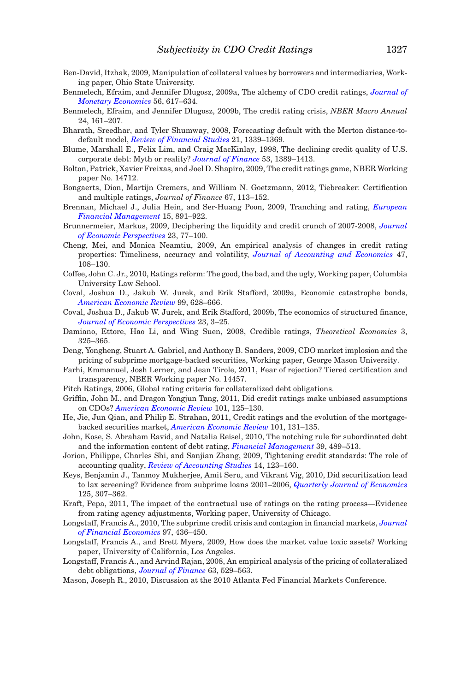- <span id="page-34-9"></span>Ben-David, Itzhak, 2009, Manipulation of collateral values by borrowers and intermediaries, Working paper, Ohio State University.
- <span id="page-34-21"></span>Benmelech, Efraim, and Jennifer Dlugosz, 2009a, The alchemy of CDO credit ratings, *[Journal of](http://dx.doi.org/10.1016/j.jmoneco.2009.04.007) [Monetary Economics](http://dx.doi.org/10.1016/j.jmoneco.2009.04.007)* 56, 617–634.
- <span id="page-34-10"></span>Benmelech, Efraim, and Jennifer Dlugosz, 2009b, The credit rating crisis, *NBER Macro Annual* 24, 161–207.
- <span id="page-34-24"></span>Bharath, Sreedhar, and Tyler Shumway, 2008, Forecasting default with the Merton distance-todefault model, *[Review of Financial Studies](http://dx.doi.org/10.1093/rfs/hhn044)* 21, 1339–1369.
- <span id="page-34-16"></span>Blume, Marshall E., Felix Lim, and Craig MacKinlay, 1998, The declining credit quality of U.S. corporate debt: Myth or reality? *[Journal of Finance](http://dx.doi.org/10.1111/0022-1082.00057)* 53, 1389–1413.
- <span id="page-34-12"></span>Bolton, Patrick, Xavier Freixas, and Joel D. Shapiro, 2009, The credit ratings game, NBER Working paper No. 14712.
- <span id="page-34-18"></span>Bongaerts, Dion, Martijn Cremers, and William N. Goetzmann, 2012, Tiebreaker: Certification and multiple ratings, *Journal of Finance* 67, 113–152.
- <span id="page-34-23"></span>Brennan, Michael J., Julia Hein, and Ser-Huang Poon, 2009, Tranching and rating, *[European](http://dx.doi.org/10.1111/j.1468-036X.2009.00515.x) [Financial Management](http://dx.doi.org/10.1111/j.1468-036X.2009.00515.x)* 15, 891–922.
- <span id="page-34-3"></span>Brunnermeier, Markus, 2009, Deciphering the liquidity and credit crunch of 2007-2008, *[Journal](http://dx.doi.org/10.1257/jep.23.1.77) [of Economic Perspectives](http://dx.doi.org/10.1257/jep.23.1.77)* 23, 77–100.
- <span id="page-34-15"></span>Cheng, Mei, and Monica Neamtiu, 2009, An empirical analysis of changes in credit rating properties: Timeliness, accuracy and volatility, *[Journal of Accounting and Economics](http://dx.doi.org/10.1016/j.jacceco.2008.11.001)* 47, 108–130.
- <span id="page-34-26"></span>Coffee, John C. Jr., 2010, Ratings reform: The good, the bad, and the ugly, Working paper, Columbia University Law School.
- <span id="page-34-2"></span>Coval, Joshua D., Jakub W. Jurek, and Erik Stafford, 2009a, Economic catastrophe bonds, *[American Economic Review](http://dx.doi.org/10.1257/aer.99.3.628)* 99, 628–666.
- <span id="page-34-1"></span>Coval, Joshua D., Jakub W. Jurek, and Erik Stafford, 2009b, The economics of structured finance, *[Journal of Economic Perspectives](http://dx.doi.org/10.1257/jep.23.1.3)* 23, 3–25.
- <span id="page-34-13"></span>Damiano, Ettore, Hao Li, and Wing Suen, 2008, Credible ratings, *Theoretical Economics* 3, 325–365.
- <span id="page-34-6"></span>Deng, Yongheng, Stuart A. Gabriel, and Anthony B. Sanders, 2009, CDO market implosion and the pricing of subprime mortgage-backed securities, Working paper, George Mason University.
- <span id="page-34-14"></span>Farhi, Emmanuel, Josh Lerner, and Jean Tirole, 2011, Fear of rejection? Tiered certification and transparency, NBER Working paper No. 14457.
- <span id="page-34-22"></span>Fitch Ratings, 2006, Global rating criteria for collateralized debt obligations.
- <span id="page-34-7"></span>Griffin, John M., and Dragon Yongjun Tang, 2011, Did credit ratings make unbiased assumptions on CDOs? *[American Economic Review](http://dx.doi.org/10.1257/aer.101.3.125)* 101, 125–130.
- <span id="page-34-11"></span>He, Jie, Jun Qian, and Philip E. Strahan, 2011, Credit ratings and the evolution of the mortgagebacked securities market, *[American Economic Review](http://dx.doi.org/10.1257/aer.101.3.131)* 101, 131–135.
- <span id="page-34-19"></span>John, Kose, S. Abraham Ravid, and Natalia Reisel, 2010, The notching rule for subordinated debt and the information content of debt rating, *[Financial Management](http://dx.doi.org/10.1111/j.1755-053X.2010.01081.x)* 39, 489–513.
- <span id="page-34-17"></span>Jorion, Philippe, Charles Shi, and Sanjian Zhang, 2009, Tightening credit standards: The role of accounting quality, *[Review of Accounting Studies](http://dx.doi.org/10.1007/s11142-007-9054-z)* 14, 123–160.
- <span id="page-34-8"></span>Keys, Benjamin J., Tanmoy Mukherjee, Amit Seru, and Vikrant Vig, 2010, Did securitization lead to lax screening? Evidence from subprime loans 2001–2006, *[Quarterly Journal of Economics](http://dx.doi.org/10.1162/qjec.2010.125.1.307)* 125, 307–362.
- <span id="page-34-20"></span>Kraft, Pepa, 2011, The impact of the contractual use of ratings on the rating process—Evidence from rating agency adjustments, Working paper, University of Chicago.
- <span id="page-34-4"></span>Longstaff, Francis A., 2010, The subprime credit crisis and contagion in financial markets, *[Journal](http://dx.doi.org/10.1016/j.jfineco.2010.01.002) [of Financial Economics](http://dx.doi.org/10.1016/j.jfineco.2010.01.002)* 97, 436–450.
- <span id="page-34-5"></span>Longstaff, Francis A., and Brett Myers, 2009, How does the market value toxic assets? Working paper, University of California, Los Angeles.
- <span id="page-34-0"></span>Longstaff, Francis A., and Arvind Rajan, 2008, An empirical analysis of the pricing of collateralized debt obligations, *[Journal of Finance](http://dx.doi.org/10.1111/j.1540-6261.2008.01330.x)* 63, 529–563.
- <span id="page-34-25"></span>Mason, Joseph R., 2010, Discussion at the 2010 Atlanta Fed Financial Markets Conference.